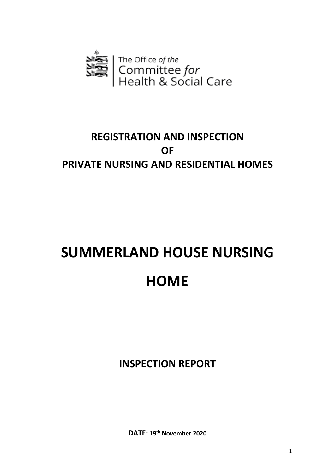

# **REGISTRATION AND INSPECTION OF PRIVATE NURSING AND RESIDENTIAL HOMES**

# **SUMMERLAND HOUSE NURSING HOME**

**INSPECTION REPORT**

**DATE: 19th November 2020**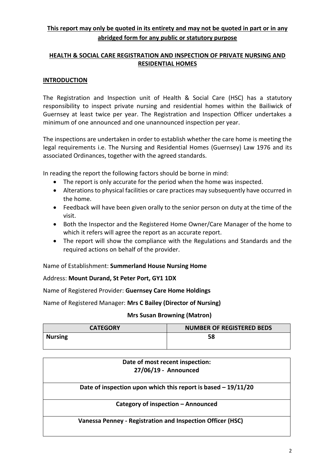# **This report may only be quoted in its entirety and may not be quoted in part or in any abridged form for any public or statutory purpose**

## **HEALTH & SOCIAL CARE REGISTRATION AND INSPECTION OF PRIVATE NURSING AND RESIDENTIAL HOMES**

#### **INTRODUCTION**

The Registration and Inspection unit of Health & Social Care (HSC) has a statutory responsibility to inspect private nursing and residential homes within the Bailiwick of Guernsey at least twice per year. The Registration and Inspection Officer undertakes a minimum of one announced and one unannounced inspection per year.

The inspections are undertaken in order to establish whether the care home is meeting the legal requirements i.e. The Nursing and Residential Homes (Guernsey) Law 1976 and its associated Ordinances, together with the agreed standards.

In reading the report the following factors should be borne in mind:

- The report is only accurate for the period when the home was inspected.
- Alterations to physical facilities or care practices may subsequently have occurred in the home.
- Feedback will have been given orally to the senior person on duty at the time of the visit.
- Both the Inspector and the Registered Home Owner/Care Manager of the home to which it refers will agree the report as an accurate report.
- The report will show the compliance with the Regulations and Standards and the required actions on behalf of the provider.

Name of Establishment: **Summerland House Nursing Home** 

#### Address: **Mount Durand, St Peter Port, GY1 1DX**

Name of Registered Provider: **Guernsey Care Home Holdings**

Name of Registered Manager: **Mrs C Bailey (Director of Nursing)** 

#### **Mrs Susan Browning (Matron)**

| <b>CATEGORY</b> | <b>NUMBER OF REGISTERED BEDS</b> |
|-----------------|----------------------------------|
| <b>Nursing</b>  | 58                               |
|                 |                                  |

| Date of most recent inspection:<br>27/06/19 - Announced        |  |
|----------------------------------------------------------------|--|
| Date of inspection upon which this report is based $-19/11/20$ |  |
| Category of inspection - Announced                             |  |
| Vanessa Penney - Registration and Inspection Officer (HSC)     |  |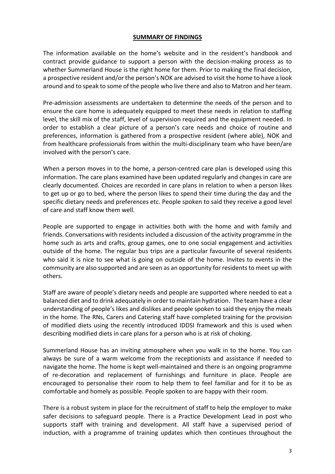#### **SUMMARY OF FINDINGS**

The information available on the home's website and in the resident's handbook and contract provide guidance to support a person with the decision-making process as to whether Summerland House is the right home for them. Prior to making the final decision, a prospective resident and/or the person's NOK are advised to visit the home to have a look around and to speak to some of the people who live there and also to Matron and her team.

Pre-admission assessments are undertaken to determine the needs of the person and to ensure the care home is adequately equipped to meet these needs in relation to staffing level, the skill mix of the staff, level of supervision required and the equipment needed. In order to establish a clear picture of a person's care needs and choice of routine and preferences, information is gathered from a prospective resident (where able), NOK and from healthcare professionals from within the multi-disciplinary team who have been/are involved with the person's care.

When a person moves in to the home, a person-centred care plan is developed using this information. The care plans examined have been updated regularly and changes in care are clearly documented. Choices are recorded in care plans in relation to when a person likes to get up or go to bed, where the person likes to spend their time during the day and the specific dietary needs and preferences etc. People spoken to said they receive a good level of care and staff know them well.

People are supported to engage in activities both with the home and with family and friends. Conversations with residents included a discussion of the activity programme in the home such as arts and crafts, group games, one to one social engagement and activities outside of the home. The regular bus trips are a particular favourite of several residents who said it is nice to see what is going on outside of the home. Invites to events in the community are also supported and are seen as an opportunity for residents to meet up with others.

Staff are aware of people's dietary needs and people are supported where needed to eat a balanced diet and to drink adequately in order to maintain hydration. The team have a clear understanding of people's likes and dislikes and people spoken to said they enjoy the meals in the home. The RNs, Carers and Catering staff have completed training for the provision of modified diets using the recently introduced IDDSI framework and this is used when describing modified diets in care plans for a person who is at risk of choking.

Summerland House has an inviting atmosphere when you walk in to the home. You can always be sure of a warm welcome from the receptionists and assistance if needed to navigate the home. The home is kept well-maintained and there is an ongoing programme of re-decoration and replacement of furnishings and furniture in place. People are encouraged to personalise their room to help them to feel familiar and for it to be as comfortable and homely as possible. People spoken to are happy with their room.

There is a robust system in place for the recruitment of staff to help the employer to make safer decisions to safeguard people. There is a Practice Development Lead in post who supports staff with training and development. All staff have a supervised period of induction, with a programme of training updates which then continues throughout the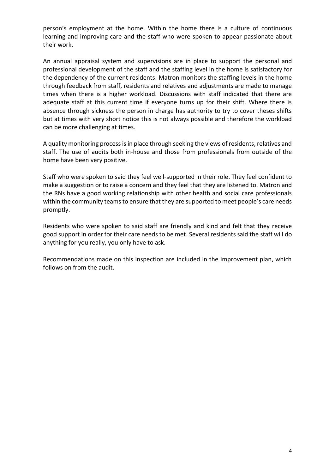person's employment at the home. Within the home there is a culture of continuous learning and improving care and the staff who were spoken to appear passionate about their work.

An annual appraisal system and supervisions are in place to support the personal and professional development of the staff and the staffing level in the home is satisfactory for the dependency of the current residents. Matron monitors the staffing levels in the home through feedback from staff, residents and relatives and adjustments are made to manage times when there is a higher workload. Discussions with staff indicated that there are adequate staff at this current time if everyone turns up for their shift. Where there is absence through sickness the person in charge has authority to try to cover theses shifts but at times with very short notice this is not always possible and therefore the workload can be more challenging at times.

A quality monitoring process is in place through seeking the views of residents, relatives and staff. The use of audits both in-house and those from professionals from outside of the home have been very positive.

Staff who were spoken to said they feel well-supported in their role. They feel confident to make a suggestion or to raise a concern and they feel that they are listened to. Matron and the RNs have a good working relationship with other health and social care professionals within the community teams to ensure that they are supported to meet people's care needs promptly.

Residents who were spoken to said staff are friendly and kind and felt that they receive good support in order for their care needs to be met. Several residents said the staff will do anything for you really, you only have to ask.

Recommendations made on this inspection are included in the improvement plan, which follows on from the audit.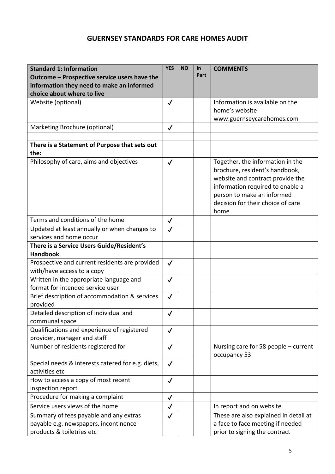# **GUERNSEY STANDARDS FOR CARE HOMES AUDIT**

| <b>Standard 1: Information</b>                                             | <b>YES</b>   | <b>NO</b> | In<br>Part | <b>COMMENTS</b>                                                                                                                                                                                                       |
|----------------------------------------------------------------------------|--------------|-----------|------------|-----------------------------------------------------------------------------------------------------------------------------------------------------------------------------------------------------------------------|
| Outcome - Prospective service users have the                               |              |           |            |                                                                                                                                                                                                                       |
| information they need to make an informed                                  |              |           |            |                                                                                                                                                                                                                       |
| choice about where to live                                                 |              |           |            |                                                                                                                                                                                                                       |
| Website (optional)                                                         | $\checkmark$ |           |            | Information is available on the                                                                                                                                                                                       |
|                                                                            |              |           |            | home's website                                                                                                                                                                                                        |
|                                                                            |              |           |            | www.guernseycarehomes.com                                                                                                                                                                                             |
| Marketing Brochure (optional)                                              | $\checkmark$ |           |            |                                                                                                                                                                                                                       |
| There is a Statement of Purpose that sets out<br>the:                      |              |           |            |                                                                                                                                                                                                                       |
| Philosophy of care, aims and objectives                                    | $\checkmark$ |           |            | Together, the information in the<br>brochure, resident's handbook,<br>website and contract provide the<br>information required to enable a<br>person to make an informed<br>decision for their choice of care<br>home |
| Terms and conditions of the home                                           | $\checkmark$ |           |            |                                                                                                                                                                                                                       |
| Updated at least annually or when changes to                               | $\checkmark$ |           |            |                                                                                                                                                                                                                       |
| services and home occur                                                    |              |           |            |                                                                                                                                                                                                                       |
| There is a Service Users Guide/Resident's                                  |              |           |            |                                                                                                                                                                                                                       |
| <b>Handbook</b>                                                            |              |           |            |                                                                                                                                                                                                                       |
| Prospective and current residents are provided                             | $\checkmark$ |           |            |                                                                                                                                                                                                                       |
| with/have access to a copy                                                 |              |           |            |                                                                                                                                                                                                                       |
| Written in the appropriate language and                                    | $\checkmark$ |           |            |                                                                                                                                                                                                                       |
| format for intended service user                                           |              |           |            |                                                                                                                                                                                                                       |
| Brief description of accommodation & services                              | $\checkmark$ |           |            |                                                                                                                                                                                                                       |
| provided                                                                   |              |           |            |                                                                                                                                                                                                                       |
| Detailed description of individual and                                     | $\checkmark$ |           |            |                                                                                                                                                                                                                       |
| communal space                                                             |              |           |            |                                                                                                                                                                                                                       |
| Qualifications and experience of registered<br>provider, manager and staff | $\checkmark$ |           |            |                                                                                                                                                                                                                       |
| Number of residents registered for                                         | $\checkmark$ |           |            | Nursing care for 58 people - current                                                                                                                                                                                  |
|                                                                            |              |           |            | occupancy 53                                                                                                                                                                                                          |
| Special needs & interests catered for e.g. diets,                          | $\checkmark$ |           |            |                                                                                                                                                                                                                       |
| activities etc                                                             |              |           |            |                                                                                                                                                                                                                       |
| How to access a copy of most recent<br>inspection report                   | $\checkmark$ |           |            |                                                                                                                                                                                                                       |
| Procedure for making a complaint                                           | $\checkmark$ |           |            |                                                                                                                                                                                                                       |
| Service users views of the home                                            | $\checkmark$ |           |            | In report and on website                                                                                                                                                                                              |
| Summary of fees payable and any extras                                     |              |           |            | These are also explained in detail at                                                                                                                                                                                 |
| payable e.g. newspapers, incontinence                                      | $\checkmark$ |           |            | a face to face meeting if needed                                                                                                                                                                                      |
| products & toiletries etc                                                  |              |           |            | prior to signing the contract                                                                                                                                                                                         |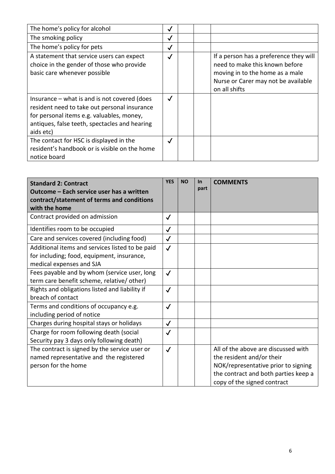| The home's policy for alcohol                                                                                                                                                                             | ✓            |                                                                                                                                                                     |  |
|-----------------------------------------------------------------------------------------------------------------------------------------------------------------------------------------------------------|--------------|---------------------------------------------------------------------------------------------------------------------------------------------------------------------|--|
| The smoking policy                                                                                                                                                                                        | √            |                                                                                                                                                                     |  |
| The home's policy for pets                                                                                                                                                                                | ✓            |                                                                                                                                                                     |  |
| A statement that service users can expect<br>choice in the gender of those who provide<br>basic care whenever possible                                                                                    | $\checkmark$ | If a person has a preference they will<br>need to make this known before<br>moving in to the home as a male<br>Nurse or Carer may not be available<br>on all shifts |  |
| Insurance $-$ what is and is not covered (does<br>resident need to take out personal insurance<br>for personal items e.g. valuables, money,<br>antiques, false teeth, spectacles and hearing<br>aids etc) | $\checkmark$ |                                                                                                                                                                     |  |
| The contact for HSC is displayed in the<br>resident's handbook or is visible on the home<br>notice board                                                                                                  | $\checkmark$ |                                                                                                                                                                     |  |

| <b>Standard 2: Contract</b><br>Outcome - Each service user has a written<br>contract/statement of terms and conditions<br>with the home | <b>YES</b>   | <b>NO</b> | $\ln$<br>part | <b>COMMENTS</b>                                                                                                                                                                |
|-----------------------------------------------------------------------------------------------------------------------------------------|--------------|-----------|---------------|--------------------------------------------------------------------------------------------------------------------------------------------------------------------------------|
| Contract provided on admission                                                                                                          | $\checkmark$ |           |               |                                                                                                                                                                                |
| Identifies room to be occupied                                                                                                          | $\checkmark$ |           |               |                                                                                                                                                                                |
| Care and services covered (including food)                                                                                              | $\checkmark$ |           |               |                                                                                                                                                                                |
| Additional items and services listed to be paid<br>for including; food, equipment, insurance,<br>medical expenses and SJA               | $\checkmark$ |           |               |                                                                                                                                                                                |
| Fees payable and by whom (service user, long<br>term care benefit scheme, relative/other)                                               | $\checkmark$ |           |               |                                                                                                                                                                                |
| Rights and obligations listed and liability if<br>breach of contact                                                                     | $\checkmark$ |           |               |                                                                                                                                                                                |
| Terms and conditions of occupancy e.g.<br>including period of notice                                                                    | $\checkmark$ |           |               |                                                                                                                                                                                |
| Charges during hospital stays or holidays                                                                                               | $\checkmark$ |           |               |                                                                                                                                                                                |
| Charge for room following death (social<br>Security pay 3 days only following death)                                                    | $\checkmark$ |           |               |                                                                                                                                                                                |
| The contract is signed by the service user or<br>named representative and the registered<br>person for the home                         | $\checkmark$ |           |               | All of the above are discussed with<br>the resident and/or their<br>NOK/representative prior to signing<br>the contract and both parties keep a<br>copy of the signed contract |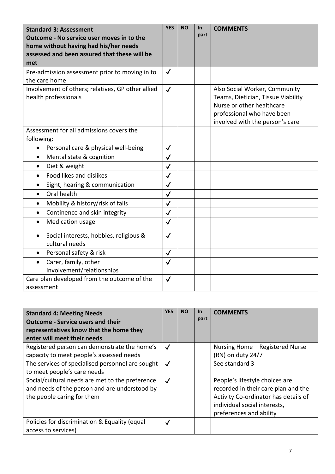| <b>Standard 3: Assessment</b><br>Outcome - No service user moves in to the<br>home without having had his/her needs<br>assessed and been assured that these will be<br>met | <b>YES</b>   | <b>NO</b> | <b>In</b><br>part | <b>COMMENTS</b>                                                                                                                                                   |
|----------------------------------------------------------------------------------------------------------------------------------------------------------------------------|--------------|-----------|-------------------|-------------------------------------------------------------------------------------------------------------------------------------------------------------------|
| Pre-admission assessment prior to moving in to<br>the care home                                                                                                            | $\checkmark$ |           |                   |                                                                                                                                                                   |
| Involvement of others; relatives, GP other allied<br>health professionals                                                                                                  | $\checkmark$ |           |                   | Also Social Worker, Community<br>Teams, Dietician, Tissue Viability<br>Nurse or other healthcare<br>professional who have been<br>involved with the person's care |
| Assessment for all admissions covers the<br>following:                                                                                                                     |              |           |                   |                                                                                                                                                                   |
| Personal care & physical well-being<br>$\bullet$                                                                                                                           | $\checkmark$ |           |                   |                                                                                                                                                                   |
| Mental state & cognition<br>$\bullet$                                                                                                                                      | $\checkmark$ |           |                   |                                                                                                                                                                   |
| Diet & weight<br>$\bullet$                                                                                                                                                 | $\checkmark$ |           |                   |                                                                                                                                                                   |
| Food likes and dislikes<br>$\bullet$                                                                                                                                       | $\checkmark$ |           |                   |                                                                                                                                                                   |
| Sight, hearing & communication                                                                                                                                             | $\checkmark$ |           |                   |                                                                                                                                                                   |
| Oral health<br>$\bullet$                                                                                                                                                   | $\checkmark$ |           |                   |                                                                                                                                                                   |
| Mobility & history/risk of falls<br>$\bullet$                                                                                                                              | $\checkmark$ |           |                   |                                                                                                                                                                   |
| Continence and skin integrity<br>$\bullet$                                                                                                                                 | $\checkmark$ |           |                   |                                                                                                                                                                   |
| Medication usage<br>$\bullet$                                                                                                                                              | $\checkmark$ |           |                   |                                                                                                                                                                   |
| Social interests, hobbies, religious &<br>cultural needs                                                                                                                   | $\checkmark$ |           |                   |                                                                                                                                                                   |
| Personal safety & risk                                                                                                                                                     | $\checkmark$ |           |                   |                                                                                                                                                                   |
| Carer, family, other<br>$\bullet$<br>involvement/relationships                                                                                                             | $\checkmark$ |           |                   |                                                                                                                                                                   |
| Care plan developed from the outcome of the<br>assessment                                                                                                                  | $\checkmark$ |           |                   |                                                                                                                                                                   |

| <b>Standard 4: Meeting Needs</b><br><b>Outcome - Service users and their</b><br>representatives know that the home they<br>enter will meet their needs | <b>YES</b>   | <b>NO</b> | <b>In</b><br>part | <b>COMMENTS</b>                                                                                                                                                          |
|--------------------------------------------------------------------------------------------------------------------------------------------------------|--------------|-----------|-------------------|--------------------------------------------------------------------------------------------------------------------------------------------------------------------------|
| Registered person can demonstrate the home's                                                                                                           | $\checkmark$ |           |                   | Nursing Home - Registered Nurse                                                                                                                                          |
| capacity to meet people's assessed needs                                                                                                               |              |           |                   | (RN) on duty 24/7                                                                                                                                                        |
| The services of specialised personnel are sought                                                                                                       | $\checkmark$ |           |                   | See standard 3                                                                                                                                                           |
| to meet people's care needs                                                                                                                            |              |           |                   |                                                                                                                                                                          |
| Social/cultural needs are met to the preference<br>and needs of the person and are understood by<br>the people caring for them                         | $\checkmark$ |           |                   | People's lifestyle choices are<br>recorded in their care plan and the<br>Activity Co-ordinator has details of<br>individual social interests,<br>preferences and ability |
| Policies for discrimination & Equality (equal<br>access to services)                                                                                   | $\checkmark$ |           |                   |                                                                                                                                                                          |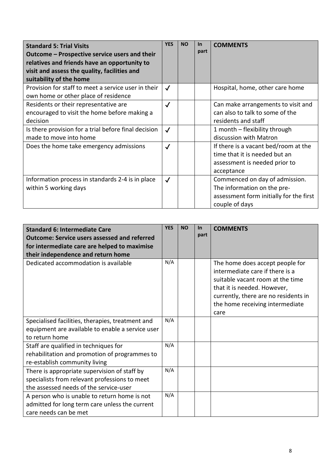| <b>Standard 5: Trial Visits</b><br>Outcome – Prospective service users and their<br>relatives and friends have an opportunity to<br>visit and assess the quality, facilities and<br>suitability of the home | <b>YES</b>   | <b>NO</b> | <b>In</b><br>part | <b>COMMENTS</b>                                                                                                            |
|-------------------------------------------------------------------------------------------------------------------------------------------------------------------------------------------------------------|--------------|-----------|-------------------|----------------------------------------------------------------------------------------------------------------------------|
| Provision for staff to meet a service user in their<br>own home or other place of residence                                                                                                                 | $\checkmark$ |           |                   | Hospital, home, other care home                                                                                            |
| Residents or their representative are<br>encouraged to visit the home before making a<br>decision                                                                                                           | $\checkmark$ |           |                   | Can make arrangements to visit and<br>can also to talk to some of the<br>residents and staff                               |
| Is there provision for a trial before final decision<br>made to move into home                                                                                                                              | $\checkmark$ |           |                   | 1 month - flexibility through<br>discussion with Matron                                                                    |
| Does the home take emergency admissions                                                                                                                                                                     | $\checkmark$ |           |                   | If there is a vacant bed/room at the<br>time that it is needed but an<br>assessment is needed prior to<br>acceptance       |
| Information process in standards 2-4 is in place<br>within 5 working days                                                                                                                                   | $\checkmark$ |           |                   | Commenced on day of admission.<br>The information on the pre-<br>assessment form initially for the first<br>couple of days |

| <b>Standard 6: Intermediate Care</b><br><b>Outcome: Service users assessed and referred</b><br>for intermediate care are helped to maximise<br>their independence and return home | <b>YES</b> | <b>NO</b> | $\ln$<br>part | <b>COMMENTS</b>                                                                                                                                                                                                          |
|-----------------------------------------------------------------------------------------------------------------------------------------------------------------------------------|------------|-----------|---------------|--------------------------------------------------------------------------------------------------------------------------------------------------------------------------------------------------------------------------|
| Dedicated accommodation is available                                                                                                                                              | N/A        |           |               | The home does accept people for<br>intermediate care if there is a<br>suitable vacant room at the time<br>that it is needed. However,<br>currently, there are no residents in<br>the home receiving intermediate<br>care |
| Specialised facilities, therapies, treatment and                                                                                                                                  | N/A        |           |               |                                                                                                                                                                                                                          |
| equipment are available to enable a service user<br>to return home                                                                                                                |            |           |               |                                                                                                                                                                                                                          |
| Staff are qualified in techniques for<br>rehabilitation and promotion of programmes to<br>re-establish community living                                                           | N/A        |           |               |                                                                                                                                                                                                                          |
| There is appropriate supervision of staff by<br>specialists from relevant professions to meet<br>the assessed needs of the service-user                                           | N/A        |           |               |                                                                                                                                                                                                                          |
| A person who is unable to return home is not<br>admitted for long term care unless the current<br>care needs can be met                                                           | N/A        |           |               |                                                                                                                                                                                                                          |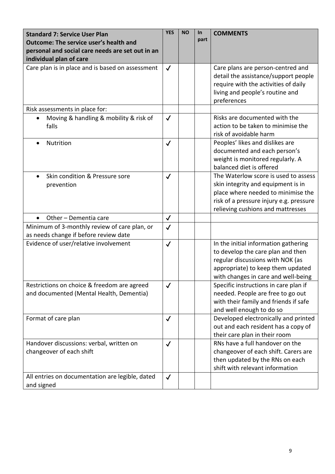| <b>Standard 7: Service User Plan</b><br><b>Outcome: The service user's health and</b><br>personal and social care needs are set out in an<br>individual plan of care | <b>YES</b>   | <b>NO</b> | In<br>part | <b>COMMENTS</b>                                                                                                                                                                                  |
|----------------------------------------------------------------------------------------------------------------------------------------------------------------------|--------------|-----------|------------|--------------------------------------------------------------------------------------------------------------------------------------------------------------------------------------------------|
| Care plan is in place and is based on assessment                                                                                                                     | $\checkmark$ |           |            | Care plans are person-centred and<br>detail the assistance/support people<br>require with the activities of daily<br>living and people's routine and<br>preferences                              |
| Risk assessments in place for:                                                                                                                                       |              |           |            |                                                                                                                                                                                                  |
| Moving & handling & mobility & risk of<br>falls                                                                                                                      | $\checkmark$ |           |            | Risks are documented with the<br>action to be taken to minimise the<br>risk of avoidable harm                                                                                                    |
| Nutrition                                                                                                                                                            | $\checkmark$ |           |            | Peoples' likes and dislikes are<br>documented and each person's<br>weight is monitored regularly. A<br>balanced diet is offered                                                                  |
| Skin condition & Pressure sore<br>prevention                                                                                                                         | $\checkmark$ |           |            | The Waterlow score is used to assess<br>skin integrity and equipment is in<br>place where needed to minimise the<br>risk of a pressure injury e.g. pressure<br>relieving cushions and mattresses |
| Other - Dementia care<br>$\bullet$                                                                                                                                   | $\checkmark$ |           |            |                                                                                                                                                                                                  |
| Minimum of 3-monthly review of care plan, or<br>as needs change if before review date                                                                                | $\checkmark$ |           |            |                                                                                                                                                                                                  |
| Evidence of user/relative involvement                                                                                                                                | $\checkmark$ |           |            | In the initial information gathering<br>to develop the care plan and then<br>regular discussions with NOK (as<br>appropriate) to keep them updated<br>with changes in care and well-being        |
| Restrictions on choice & freedom are agreed<br>and documented (Mental Health, Dementia)                                                                              | $\checkmark$ |           |            | Specific instructions in care plan if<br>needed. People are free to go out<br>with their family and friends if safe<br>and well enough to do so                                                  |
| Format of care plan                                                                                                                                                  | $\checkmark$ |           |            | Developed electronically and printed<br>out and each resident has a copy of<br>their care plan in their room                                                                                     |
| Handover discussions: verbal, written on<br>changeover of each shift                                                                                                 | $\checkmark$ |           |            | RNs have a full handover on the<br>changeover of each shift. Carers are<br>then updated by the RNs on each<br>shift with relevant information                                                    |
| All entries on documentation are legible, dated<br>and signed                                                                                                        | $\checkmark$ |           |            |                                                                                                                                                                                                  |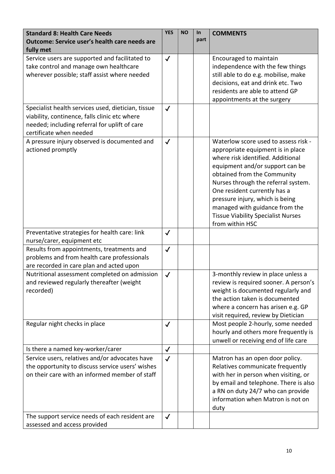| <b>Standard 8: Health Care Needs</b><br><b>Outcome: Service user's health care needs are</b><br>fully met                                                                       | <b>YES</b>   | <b>NO</b> | <b>In</b><br>part | <b>COMMENTS</b>                                                                                                                                                                                                                                                                                                                                                                              |
|---------------------------------------------------------------------------------------------------------------------------------------------------------------------------------|--------------|-----------|-------------------|----------------------------------------------------------------------------------------------------------------------------------------------------------------------------------------------------------------------------------------------------------------------------------------------------------------------------------------------------------------------------------------------|
| Service users are supported and facilitated to<br>take control and manage own healthcare<br>wherever possible; staff assist where needed                                        | $\checkmark$ |           |                   | Encouraged to maintain<br>independence with the few things<br>still able to do e.g. mobilise, make<br>decisions, eat and drink etc. Two<br>residents are able to attend GP<br>appointments at the surgery                                                                                                                                                                                    |
| Specialist health services used, dietician, tissue<br>viability, continence, falls clinic etc where<br>needed; including referral for uplift of care<br>certificate when needed | $\checkmark$ |           |                   |                                                                                                                                                                                                                                                                                                                                                                                              |
| A pressure injury observed is documented and<br>actioned promptly                                                                                                               | $\checkmark$ |           |                   | Waterlow score used to assess risk -<br>appropriate equipment is in place<br>where risk identified. Additional<br>equipment and/or support can be<br>obtained from the Community<br>Nurses through the referral system.<br>One resident currently has a<br>pressure injury, which is being<br>managed with guidance from the<br><b>Tissue Viability Specialist Nurses</b><br>from within HSC |
| Preventative strategies for health care: link<br>nurse/carer, equipment etc                                                                                                     | $\checkmark$ |           |                   |                                                                                                                                                                                                                                                                                                                                                                                              |
| Results from appointments, treatments and<br>problems and from health care professionals<br>are recorded in care plan and acted upon                                            | $\checkmark$ |           |                   |                                                                                                                                                                                                                                                                                                                                                                                              |
| Nutritional assessment completed on admission<br>and reviewed regularly thereafter (weight<br>recorded)                                                                         | $\checkmark$ |           |                   | 3-monthly review in place unless a<br>review is required sooner. A person's<br>weight is documented regularly and<br>the action taken is documented<br>where a concern has arisen e.g. GP<br>visit required, review by Dietician                                                                                                                                                             |
| Regular night checks in place                                                                                                                                                   | $\checkmark$ |           |                   | Most people 2-hourly, some needed<br>hourly and others more frequently is<br>unwell or receiving end of life care                                                                                                                                                                                                                                                                            |
| Is there a named key-worker/carer                                                                                                                                               | $\checkmark$ |           |                   |                                                                                                                                                                                                                                                                                                                                                                                              |
| Service users, relatives and/or advocates have<br>the opportunity to discuss service users' wishes<br>on their care with an informed member of staff                            | $\checkmark$ |           |                   | Matron has an open door policy.<br>Relatives communicate frequently<br>with her in person when visiting, or<br>by email and telephone. There is also<br>a RN on duty 24/7 who can provide<br>information when Matron is not on<br>duty                                                                                                                                                       |
| The support service needs of each resident are<br>assessed and access provided                                                                                                  | $\checkmark$ |           |                   |                                                                                                                                                                                                                                                                                                                                                                                              |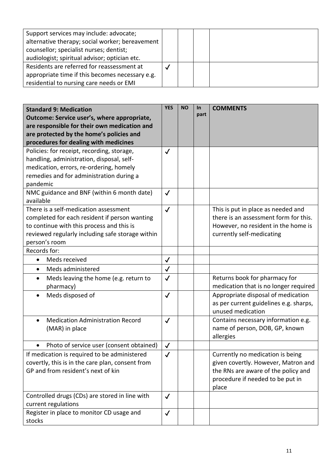| Support services may include: advocate;         |  |  |
|-------------------------------------------------|--|--|
| alternative therapy; social worker; bereavement |  |  |
|                                                 |  |  |
| counsellor; specialist nurses; dentist;         |  |  |
| audiologist; spiritual advisor; optician etc.   |  |  |
| Residents are referred for reassessment at      |  |  |
| appropriate time if this becomes necessary e.g. |  |  |
| residential to nursing care needs or EMI        |  |  |

| <b>Standard 9: Medication</b><br>Outcome: Service user's, where appropriate,<br>are responsible for their own medication and<br>are protected by the home's policies and<br>procedures for dealing with medicines | <b>YES</b>   | <b>NO</b> | $\ln$<br>part | <b>COMMENTS</b>                                                                                                                                             |
|-------------------------------------------------------------------------------------------------------------------------------------------------------------------------------------------------------------------|--------------|-----------|---------------|-------------------------------------------------------------------------------------------------------------------------------------------------------------|
| Policies: for receipt, recording, storage,<br>handling, administration, disposal, self-<br>medication, errors, re-ordering, homely<br>remedies and for administration during a<br>pandemic                        | $\checkmark$ |           |               |                                                                                                                                                             |
| NMC guidance and BNF (within 6 month date)<br>available                                                                                                                                                           | $\checkmark$ |           |               |                                                                                                                                                             |
| There is a self-medication assessment<br>completed for each resident if person wanting<br>to continue with this process and this is<br>reviewed regularly including safe storage within<br>person's room          | $\checkmark$ |           |               | This is put in place as needed and<br>there is an assessment form for this.<br>However, no resident in the home is<br>currently self-medicating             |
| Records for:                                                                                                                                                                                                      |              |           |               |                                                                                                                                                             |
| Meds received<br>$\bullet$                                                                                                                                                                                        | $\checkmark$ |           |               |                                                                                                                                                             |
| Meds administered<br>$\bullet$                                                                                                                                                                                    | $\checkmark$ |           |               |                                                                                                                                                             |
| Meds leaving the home (e.g. return to<br>$\bullet$<br>pharmacy)                                                                                                                                                   | $\checkmark$ |           |               | Returns book for pharmacy for<br>medication that is no longer required                                                                                      |
| Meds disposed of                                                                                                                                                                                                  | $\checkmark$ |           |               | Appropriate disposal of medication<br>as per current guidelines e.g. sharps,<br>unused medication                                                           |
| <b>Medication Administration Record</b><br>(MAR) in place                                                                                                                                                         | $\checkmark$ |           |               | Contains necessary information e.g.<br>name of person, DOB, GP, known<br>allergies                                                                          |
| Photo of service user (consent obtained)                                                                                                                                                                          | $\checkmark$ |           |               |                                                                                                                                                             |
| If medication is required to be administered<br>covertly, this is in the care plan, consent from<br>GP and from resident's next of kin                                                                            | $\checkmark$ |           |               | Currently no medication is being<br>given covertly. However, Matron and<br>the RNs are aware of the policy and<br>procedure if needed to be put in<br>place |
| Controlled drugs (CDs) are stored in line with<br>current regulations                                                                                                                                             | $\checkmark$ |           |               |                                                                                                                                                             |
| Register in place to monitor CD usage and<br>stocks                                                                                                                                                               | $\checkmark$ |           |               |                                                                                                                                                             |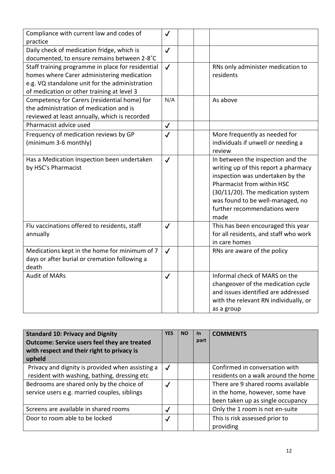| Compliance with current law and codes of          | $\checkmark$ |                                       |
|---------------------------------------------------|--------------|---------------------------------------|
| practice                                          |              |                                       |
| Daily check of medication fridge, which is        | $\checkmark$ |                                       |
| documented, to ensure remains between 2-8°C       |              |                                       |
| Staff training programme in place for residential | $\checkmark$ | RNs only administer medication to     |
| homes where Carer administering medication        |              | residents                             |
| e.g. VQ standalone unit for the administration    |              |                                       |
| of medication or other training at level 3        |              |                                       |
| Competency for Carers (residential home) for      | N/A          | As above                              |
| the administration of medication and is           |              |                                       |
| reviewed at least annually, which is recorded     |              |                                       |
| Pharmacist advice used                            | $\checkmark$ |                                       |
| Frequency of medication reviews by GP             | $\checkmark$ | More frequently as needed for         |
| (minimum 3-6 monthly)                             |              | individuals if unwell or needing a    |
|                                                   |              | review                                |
| Has a Medication Inspection been undertaken       | $\checkmark$ | In between the inspection and the     |
| by HSC's Pharmacist                               |              | writing up of this report a pharmacy  |
|                                                   |              | inspection was undertaken by the      |
|                                                   |              | Pharmacist from within HSC            |
|                                                   |              | (30/11/20). The medication system     |
|                                                   |              | was found to be well-managed, no      |
|                                                   |              | further recommendations were          |
|                                                   |              | made                                  |
| Flu vaccinations offered to residents, staff      | $\checkmark$ | This has been encouraged this year    |
| annually                                          |              | for all residents, and staff who work |
|                                                   |              | in care homes                         |
| Medications kept in the home for minimum of 7     | $\checkmark$ | RNs are aware of the policy           |
| days or after burial or cremation following a     |              |                                       |
| death                                             |              |                                       |
| <b>Audit of MARs</b>                              | $\checkmark$ | Informal check of MARS on the         |
|                                                   |              | changeover of the medication cycle    |
|                                                   |              | and issues identified are addressed   |
|                                                   |              | with the relevant RN individually, or |
|                                                   |              | as a group                            |

| <b>Standard 10: Privacy and Dignity</b><br><b>Outcome: Service users feel they are treated</b><br>with respect and their right to privacy is<br>upheld | <b>YES</b>   | <b>NO</b> | In.<br>part | <b>COMMENTS</b>                                                                                            |
|--------------------------------------------------------------------------------------------------------------------------------------------------------|--------------|-----------|-------------|------------------------------------------------------------------------------------------------------------|
| Privacy and dignity is provided when assisting a<br>resident with washing, bathing, dressing etc                                                       | $\checkmark$ |           |             | Confirmed in conversation with<br>residents on a walk around the home                                      |
| Bedrooms are shared only by the choice of<br>service users e.g. married couples, siblings                                                              | $\checkmark$ |           |             | There are 9 shared rooms available<br>in the home, however, some have<br>been taken up as single occupancy |
| Screens are available in shared rooms                                                                                                                  | $\checkmark$ |           |             | Only the 1 room is not en-suite                                                                            |
| Door to room able to be locked                                                                                                                         | $\checkmark$ |           |             | This is risk assessed prior to<br>providing                                                                |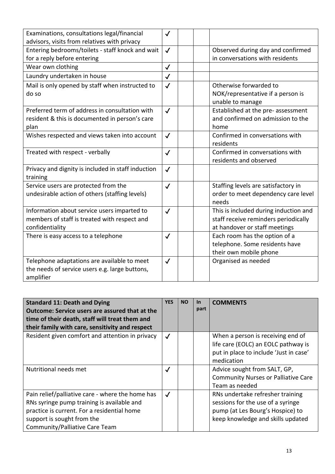| Examinations, consultations legal/financial<br>advisors, visits from relatives with privacy                    | $\checkmark$ |                                                                                                                |
|----------------------------------------------------------------------------------------------------------------|--------------|----------------------------------------------------------------------------------------------------------------|
| Entering bedrooms/toilets - staff knock and wait<br>for a reply before entering                                | $\checkmark$ | Observed during day and confirmed<br>in conversations with residents                                           |
| Wear own clothing                                                                                              | $\checkmark$ |                                                                                                                |
| Laundry undertaken in house                                                                                    | $\checkmark$ |                                                                                                                |
| Mail is only opened by staff when instructed to<br>do so                                                       | $\checkmark$ | Otherwise forwarded to<br>NOK/representative if a person is<br>unable to manage                                |
| Preferred term of address in consultation with<br>resident & this is documented in person's care<br>plan       | $\checkmark$ | Established at the pre- assessment<br>and confirmed on admission to the<br>home                                |
| Wishes respected and views taken into account                                                                  | $\checkmark$ | Confirmed in conversations with<br>residents                                                                   |
| Treated with respect - verbally                                                                                | $\checkmark$ | Confirmed in conversations with<br>residents and observed                                                      |
| Privacy and dignity is included in staff induction<br>training                                                 | $\checkmark$ |                                                                                                                |
| Service users are protected from the<br>undesirable action of others (staffing levels)                         | $\checkmark$ | Staffing levels are satisfactory in<br>order to meet dependency care level<br>needs                            |
| Information about service users imparted to<br>members of staff is treated with respect and<br>confidentiality | $\checkmark$ | This is included during induction and<br>staff receive reminders periodically<br>at handover or staff meetings |
| There is easy access to a telephone                                                                            | $\checkmark$ | Each room has the option of a<br>telephone. Some residents have<br>their own mobile phone                      |
| Telephone adaptations are available to meet<br>the needs of service users e.g. large buttons,<br>amplifier     | $\checkmark$ | Organised as needed                                                                                            |

| <b>Standard 11: Death and Dying</b>                   | <b>YES</b>   | <b>NO</b> | <u>In</u> | <b>COMMENTS</b>                            |
|-------------------------------------------------------|--------------|-----------|-----------|--------------------------------------------|
| <b>Outcome: Service users are assured that at the</b> |              |           | part      |                                            |
| time of their death, staff will treat them and        |              |           |           |                                            |
| their family with care, sensitivity and respect       |              |           |           |                                            |
| Resident given comfort and attention in privacy       | $\checkmark$ |           |           | When a person is receiving end of          |
|                                                       |              |           |           | life care (EOLC) an EOLC pathway is        |
|                                                       |              |           |           | put in place to include 'Just in case'     |
|                                                       |              |           |           | medication                                 |
| Nutritional needs met                                 | $\checkmark$ |           |           | Advice sought from SALT, GP,               |
|                                                       |              |           |           | <b>Community Nurses or Palliative Care</b> |
|                                                       |              |           |           | Team as needed                             |
| Pain relief/palliative care - where the home has      | $\checkmark$ |           |           | RNs undertake refresher training           |
| RNs syringe pump training is available and            |              |           |           | sessions for the use of a syringe          |
| practice is current. For a residential home           |              |           |           | pump (at Les Bourg's Hospice) to           |
| support is sought from the                            |              |           |           | keep knowledge and skills updated          |
| Community/Palliative Care Team                        |              |           |           |                                            |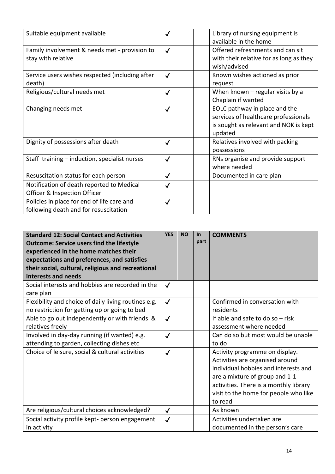| Suitable equipment available                                                        | $\checkmark$ | Library of nursing equipment is<br>available in the home                                                                  |
|-------------------------------------------------------------------------------------|--------------|---------------------------------------------------------------------------------------------------------------------------|
| Family involvement & needs met - provision to<br>stay with relative                 | $\checkmark$ | Offered refreshments and can sit<br>with their relative for as long as they<br>wish/advised                               |
| Service users wishes respected (including after<br>death)                           | $\checkmark$ | Known wishes actioned as prior<br>request                                                                                 |
| Religious/cultural needs met                                                        | $\checkmark$ | When known $-$ regular visits by a<br>Chaplain if wanted                                                                  |
| Changing needs met                                                                  | $\checkmark$ | EOLC pathway in place and the<br>services of healthcare professionals<br>is sought as relevant and NOK is kept<br>updated |
| Dignity of possessions after death                                                  | $\checkmark$ | Relatives involved with packing<br>possessions                                                                            |
| Staff training - induction, specialist nurses                                       | $\checkmark$ | RNs organise and provide support<br>where needed                                                                          |
| Resuscitation status for each person                                                | $\checkmark$ | Documented in care plan                                                                                                   |
| Notification of death reported to Medical<br>Officer & Inspection Officer           | $\checkmark$ |                                                                                                                           |
| Policies in place for end of life care and<br>following death and for resuscitation | $\checkmark$ |                                                                                                                           |

| <b>Standard 12: Social Contact and Activities</b><br><b>Outcome: Service users find the lifestyle</b><br>experienced in the home matches their<br>expectations and preferences, and satisfies<br>their social, cultural, religious and recreational<br>interests and needs | <b>YES</b>   | <b>NO</b> | <b>In</b><br>part | <b>COMMENTS</b>                                                                                                                                                                                                                           |
|----------------------------------------------------------------------------------------------------------------------------------------------------------------------------------------------------------------------------------------------------------------------------|--------------|-----------|-------------------|-------------------------------------------------------------------------------------------------------------------------------------------------------------------------------------------------------------------------------------------|
| Social interests and hobbies are recorded in the<br>care plan                                                                                                                                                                                                              | $\checkmark$ |           |                   |                                                                                                                                                                                                                                           |
| Flexibility and choice of daily living routines e.g.<br>no restriction for getting up or going to bed                                                                                                                                                                      | $\checkmark$ |           |                   | Confirmed in conversation with<br>residents                                                                                                                                                                                               |
| Able to go out independently or with friends &<br>relatives freely                                                                                                                                                                                                         | $\checkmark$ |           |                   | If able and safe to do so $-$ risk<br>assessment where needed                                                                                                                                                                             |
| Involved in day-day running (if wanted) e.g.<br>attending to garden, collecting dishes etc                                                                                                                                                                                 | $\checkmark$ |           |                   | Can do so but most would be unable<br>to do                                                                                                                                                                                               |
| Choice of leisure, social & cultural activities                                                                                                                                                                                                                            | $\checkmark$ |           |                   | Activity programme on display.<br>Activities are organised around<br>individual hobbies and interests and<br>are a mixture of group and 1-1<br>activities. There is a monthly library<br>visit to the home for people who like<br>to read |
| Are religious/cultural choices acknowledged?                                                                                                                                                                                                                               | $\checkmark$ |           |                   | As known                                                                                                                                                                                                                                  |
| Social activity profile kept- person engagement<br>in activity                                                                                                                                                                                                             | $\checkmark$ |           |                   | Activities undertaken are<br>documented in the person's care                                                                                                                                                                              |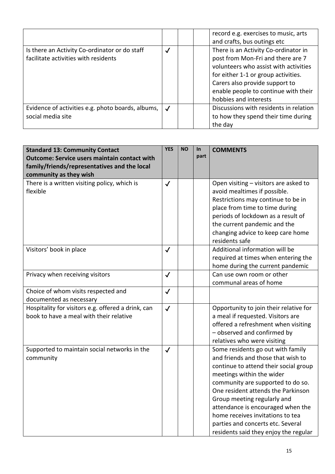|                                                                                       |              | record e.g. exercises to music, arts<br>and crafts, bus outings etc                                                                                                                                                                                          |
|---------------------------------------------------------------------------------------|--------------|--------------------------------------------------------------------------------------------------------------------------------------------------------------------------------------------------------------------------------------------------------------|
| Is there an Activity Co-ordinator or do staff<br>facilitate activities with residents | $\checkmark$ | There is an Activity Co-ordinator in<br>post from Mon-Fri and there are 7<br>volunteers who assist with activities<br>for either 1-1 or group activities.<br>Carers also provide support to<br>enable people to continue with their<br>hobbies and interests |
| Evidence of activities e.g. photo boards, albums,  <br>social media site              |              | Discussions with residents in relation<br>to how they spend their time during<br>the day                                                                                                                                                                     |

| <b>Standard 13: Community Contact</b>               | <b>YES</b>   | <b>NO</b> | <b>In</b> | <b>COMMENTS</b>                        |
|-----------------------------------------------------|--------------|-----------|-----------|----------------------------------------|
| <b>Outcome: Service users maintain contact with</b> |              |           | part      |                                        |
| family/friends/representatives and the local        |              |           |           |                                        |
| community as they wish                              |              |           |           |                                        |
| There is a written visiting policy, which is        | $\checkmark$ |           |           | Open visiting - visitors are asked to  |
| flexible                                            |              |           |           | avoid mealtimes if possible.           |
|                                                     |              |           |           | Restrictions may continue to be in     |
|                                                     |              |           |           | place from time to time during         |
|                                                     |              |           |           | periods of lockdown as a result of     |
|                                                     |              |           |           | the current pandemic and the           |
|                                                     |              |           |           | changing advice to keep care home      |
|                                                     |              |           |           | residents safe                         |
| Visitors' book in place                             | $\checkmark$ |           |           | Additional information will be         |
|                                                     |              |           |           | required at times when entering the    |
|                                                     |              |           |           | home during the current pandemic       |
| Privacy when receiving visitors                     | $\checkmark$ |           |           | Can use own room or other              |
|                                                     |              |           |           | communal areas of home                 |
| Choice of whom visits respected and                 | $\checkmark$ |           |           |                                        |
| documented as necessary                             |              |           |           |                                        |
| Hospitality for visitors e.g. offered a drink, can  | $\checkmark$ |           |           | Opportunity to join their relative for |
| book to have a meal with their relative             |              |           |           | a meal if requested. Visitors are      |
|                                                     |              |           |           | offered a refreshment when visiting    |
|                                                     |              |           |           | - observed and confirmed by            |
|                                                     |              |           |           | relatives who were visiting            |
| Supported to maintain social networks in the        | $\checkmark$ |           |           | Some residents go out with family      |
| community                                           |              |           |           | and friends and those that wish to     |
|                                                     |              |           |           | continue to attend their social group  |
|                                                     |              |           |           | meetings within the wider              |
|                                                     |              |           |           | community are supported to do so.      |
|                                                     |              |           |           | One resident attends the Parkinson     |
|                                                     |              |           |           | Group meeting regularly and            |
|                                                     |              |           |           | attendance is encouraged when the      |
|                                                     |              |           |           | home receives invitations to tea       |
|                                                     |              |           |           | parties and concerts etc. Several      |
|                                                     |              |           |           | residents said they enjoy the regular  |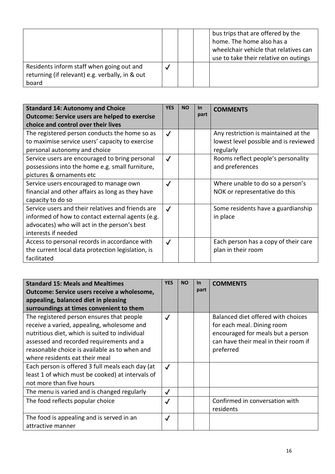|                                                                                                       |  | bus trips that are offered by the<br>home. The home also has a<br>wheelchair vehicle that relatives can<br>use to take their relative on outings |
|-------------------------------------------------------------------------------------------------------|--|--------------------------------------------------------------------------------------------------------------------------------------------------|
| Residents inform staff when going out and<br>returning (if relevant) e.g. verbally, in & out<br>board |  |                                                                                                                                                  |

| <b>Standard 14: Autonomy and Choice</b><br><b>Outcome: Service users are helped to exercise</b><br>choice and control over their lives                                       | <b>YES</b>   | <b>NO</b> | <u>In</u><br>part | <b>COMMENTS</b>                                                                            |
|------------------------------------------------------------------------------------------------------------------------------------------------------------------------------|--------------|-----------|-------------------|--------------------------------------------------------------------------------------------|
| The registered person conducts the home so as<br>to maximise service users' capacity to exercise<br>personal autonomy and choice                                             | $\checkmark$ |           |                   | Any restriction is maintained at the<br>lowest level possible and is reviewed<br>regularly |
| Service users are encouraged to bring personal<br>possessions into the home e.g. small furniture,<br>pictures & ornaments etc                                                | $\checkmark$ |           |                   | Rooms reflect people's personality<br>and preferences                                      |
| Service users encouraged to manage own<br>financial and other affairs as long as they have<br>capacity to do so                                                              | $\checkmark$ |           |                   | Where unable to do so a person's<br>NOK or representative do this                          |
| Service users and their relatives and friends are<br>informed of how to contact external agents (e.g.<br>advocates) who will act in the person's best<br>interests if needed | $\checkmark$ |           |                   | Some residents have a guardianship<br>in place                                             |
| Access to personal records in accordance with<br>the current local data protection legislation, is<br>facilitated                                                            | $\checkmark$ |           |                   | Each person has a copy of their care<br>plan in their room                                 |

| <b>Standard 15: Meals and Mealtimes</b>          | <b>YES</b>   | <b>NO</b> | <u>In</u> | <b>COMMENTS</b>                      |
|--------------------------------------------------|--------------|-----------|-----------|--------------------------------------|
| Outcome: Service users receive a wholesome,      |              |           | part      |                                      |
| appealing, balanced diet in pleasing             |              |           |           |                                      |
| surroundings at times convenient to them         |              |           |           |                                      |
| The registered person ensures that people        | $\checkmark$ |           |           | Balanced diet offered with choices   |
| receive a varied, appealing, wholesome and       |              |           |           | for each meal. Dining room           |
| nutritious diet, which is suited to individual   |              |           |           | encouraged for meals but a person    |
| assessed and recorded requirements and a         |              |           |           | can have their meal in their room if |
| reasonable choice is available as to when and    |              |           |           | preferred                            |
| where residents eat their meal                   |              |           |           |                                      |
| Each person is offered 3 full meals each day (at | $\checkmark$ |           |           |                                      |
| least 1 of which must be cooked) at intervals of |              |           |           |                                      |
| not more than five hours                         |              |           |           |                                      |
| The menu is varied and is changed regularly      | $\checkmark$ |           |           |                                      |
| The food reflects popular choice                 | $\checkmark$ |           |           | Confirmed in conversation with       |
|                                                  |              |           |           | residents                            |
| The food is appealing and is served in an        | $\checkmark$ |           |           |                                      |
| attractive manner                                |              |           |           |                                      |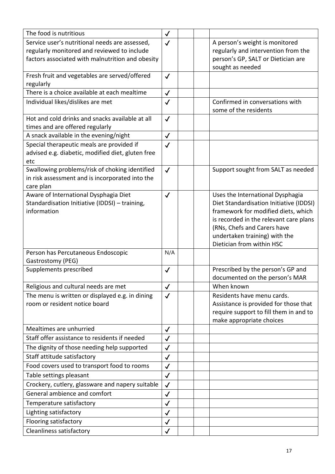| The food is nutritious                                                                         | $\checkmark$ |                                                                             |
|------------------------------------------------------------------------------------------------|--------------|-----------------------------------------------------------------------------|
| Service user's nutritional needs are assessed,                                                 | $\checkmark$ | A person's weight is monitored                                              |
| regularly monitored and reviewed to include                                                    |              | regularly and intervention from the                                         |
| factors associated with malnutrition and obesity                                               |              | person's GP, SALT or Dietician are                                          |
|                                                                                                |              | sought as needed                                                            |
| Fresh fruit and vegetables are served/offered                                                  | $\checkmark$ |                                                                             |
| regularly<br>There is a choice available at each mealtime                                      |              |                                                                             |
|                                                                                                | $\checkmark$ |                                                                             |
| Individual likes/dislikes are met                                                              | $\checkmark$ | Confirmed in conversations with<br>some of the residents                    |
| Hot and cold drinks and snacks available at all                                                | $\checkmark$ |                                                                             |
| times and are offered regularly                                                                |              |                                                                             |
| A snack available in the evening/night                                                         | $\checkmark$ |                                                                             |
| Special therapeutic meals are provided if<br>advised e.g. diabetic, modified diet, gluten free | $\checkmark$ |                                                                             |
| etc                                                                                            |              |                                                                             |
| Swallowing problems/risk of choking identified                                                 | $\checkmark$ | Support sought from SALT as needed                                          |
| in risk assessment and is incorporated into the                                                |              |                                                                             |
| care plan                                                                                      |              |                                                                             |
| Aware of International Dysphagia Diet<br>Standardisation Initiative (IDDSI) - training,        | $\checkmark$ | Uses the International Dysphagia<br>Diet Standardisation Initiative (IDDSI) |
| information                                                                                    |              | framework for modified diets, which                                         |
|                                                                                                |              | is recorded in the relevant care plans                                      |
|                                                                                                |              | (RNs, Chefs and Carers have                                                 |
|                                                                                                |              | undertaken training) with the                                               |
|                                                                                                |              | Dietician from within HSC                                                   |
| Person has Percutaneous Endoscopic                                                             | N/A          |                                                                             |
| Gastrostomy (PEG)                                                                              |              |                                                                             |
| Supplements prescribed                                                                         | $\checkmark$ | Prescribed by the person's GP and                                           |
|                                                                                                |              | documented on the person's MAR                                              |
| Religious and cultural needs are met                                                           | $\checkmark$ | When known                                                                  |
| The menu is written or displayed e.g. in dining                                                | $\checkmark$ | Residents have menu cards.                                                  |
| room or resident notice board                                                                  |              | Assistance is provided for those that                                       |
|                                                                                                |              | require support to fill them in and to                                      |
| Mealtimes are unhurried                                                                        |              | make appropriate choices                                                    |
| Staff offer assistance to residents if needed                                                  | $\checkmark$ |                                                                             |
|                                                                                                | $\checkmark$ |                                                                             |
| The dignity of those needing help supported                                                    | $\checkmark$ |                                                                             |
| Staff attitude satisfactory                                                                    | $\checkmark$ |                                                                             |
| Food covers used to transport food to rooms                                                    | $\checkmark$ |                                                                             |
| Table settings pleasant                                                                        | $\checkmark$ |                                                                             |
| Crockery, cutlery, glassware and napery suitable                                               | $\checkmark$ |                                                                             |
| General ambience and comfort                                                                   | $\checkmark$ |                                                                             |
| Temperature satisfactory                                                                       | $\checkmark$ |                                                                             |
| Lighting satisfactory                                                                          | $\checkmark$ |                                                                             |
| Flooring satisfactory                                                                          | $\checkmark$ |                                                                             |
| Cleanliness satisfactory                                                                       | $\checkmark$ |                                                                             |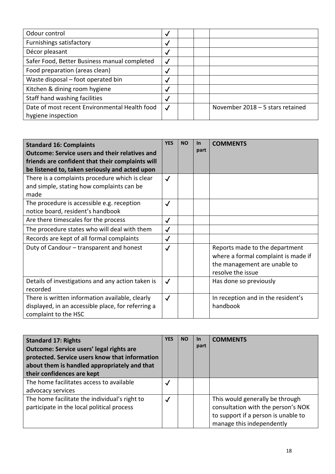| Odour control                                 | $\checkmark$ |                                  |
|-----------------------------------------------|--------------|----------------------------------|
| Furnishings satisfactory                      | $\checkmark$ |                                  |
| Décor pleasant                                | $\checkmark$ |                                  |
| Safer Food, Better Business manual completed  | $\checkmark$ |                                  |
| Food preparation (areas clean)                | $\checkmark$ |                                  |
| Waste disposal – foot operated bin            | $\checkmark$ |                                  |
| Kitchen & dining room hygiene                 | $\checkmark$ |                                  |
| Staff hand washing facilities                 | $\checkmark$ |                                  |
| Date of most recent Environmental Health food | $\checkmark$ | November 2018 - 5 stars retained |
| hygiene inspection                            |              |                                  |

| <b>Standard 16: Complaints</b><br><b>Outcome: Service users and their relatives and</b><br>friends are confident that their complaints will<br>be listened to, taken seriously and acted upon | <b>YES</b>   | <b>NO</b> | $\ln$<br>part | <b>COMMENTS</b>                                                                                                            |
|-----------------------------------------------------------------------------------------------------------------------------------------------------------------------------------------------|--------------|-----------|---------------|----------------------------------------------------------------------------------------------------------------------------|
| There is a complaints procedure which is clear<br>and simple, stating how complaints can be<br>made                                                                                           | $\checkmark$ |           |               |                                                                                                                            |
| The procedure is accessible e.g. reception<br>notice board, resident's handbook                                                                                                               | $\checkmark$ |           |               |                                                                                                                            |
| Are there timescales for the process                                                                                                                                                          | $\checkmark$ |           |               |                                                                                                                            |
| The procedure states who will deal with them                                                                                                                                                  | $\checkmark$ |           |               |                                                                                                                            |
| Records are kept of all formal complaints                                                                                                                                                     | $\checkmark$ |           |               |                                                                                                                            |
| Duty of Candour - transparent and honest                                                                                                                                                      | $\checkmark$ |           |               | Reports made to the department<br>where a formal complaint is made if<br>the management are unable to<br>resolve the issue |
| Details of investigations and any action taken is<br>recorded                                                                                                                                 | $\checkmark$ |           |               | Has done so previously                                                                                                     |
| There is written information available, clearly<br>displayed, in an accessible place, for referring a<br>complaint to the HSC                                                                 | $\checkmark$ |           |               | In reception and in the resident's<br>handbook                                                                             |

| <b>Standard 17: Rights</b><br><b>Outcome: Service users' legal rights are</b><br>protected. Service users know that information<br>about them is handled appropriately and that<br>their confidences are kept | <b>YES</b>   | <b>NO</b> | <u>In</u><br>part | <b>COMMENTS</b>                                                                                                                           |
|---------------------------------------------------------------------------------------------------------------------------------------------------------------------------------------------------------------|--------------|-----------|-------------------|-------------------------------------------------------------------------------------------------------------------------------------------|
| The home facilitates access to available<br>advocacy services                                                                                                                                                 | $\checkmark$ |           |                   |                                                                                                                                           |
| The home facilitate the individual's right to<br>participate in the local political process                                                                                                                   | $\checkmark$ |           |                   | This would generally be through<br>consultation with the person's NOK<br>to support if a person is unable to<br>manage this independently |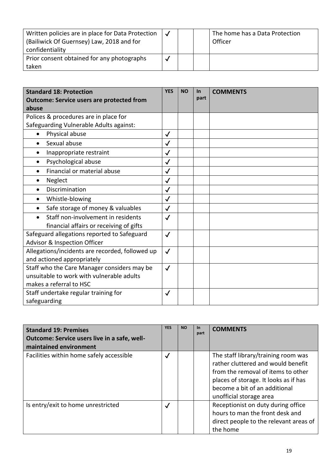| Written policies are in place for Data Protection<br>(Bailiwick Of Guernsey) Law, 2018 and for<br>confidentiality |  | The home has a Data Protection<br>Officer |
|-------------------------------------------------------------------------------------------------------------------|--|-------------------------------------------|
| Prior consent obtained for any photographs<br>taken                                                               |  |                                           |

| <b>Standard 18: Protection</b><br><b>Outcome: Service users are protected from</b> | <b>YES</b>   | <b>NO</b> | <b>In</b><br>part | <b>COMMENTS</b> |
|------------------------------------------------------------------------------------|--------------|-----------|-------------------|-----------------|
| abuse                                                                              |              |           |                   |                 |
| Polices & procedures are in place for                                              |              |           |                   |                 |
| Safeguarding Vulnerable Adults against:                                            |              |           |                   |                 |
| Physical abuse<br>$\bullet$                                                        | $\checkmark$ |           |                   |                 |
| Sexual abuse                                                                       | $\checkmark$ |           |                   |                 |
| Inappropriate restraint                                                            | $\checkmark$ |           |                   |                 |
| Psychological abuse                                                                | $\checkmark$ |           |                   |                 |
| Financial or material abuse                                                        | $\checkmark$ |           |                   |                 |
| Neglect                                                                            | $\checkmark$ |           |                   |                 |
| Discrimination                                                                     | $\checkmark$ |           |                   |                 |
| Whistle-blowing<br>$\bullet$                                                       | $\checkmark$ |           |                   |                 |
| Safe storage of money & valuables<br>$\bullet$                                     | $\checkmark$ |           |                   |                 |
| Staff non-involvement in residents                                                 | $\checkmark$ |           |                   |                 |
| financial affairs or receiving of gifts                                            |              |           |                   |                 |
| Safeguard allegations reported to Safeguard<br>Advisor & Inspection Officer        | $\checkmark$ |           |                   |                 |
| Allegations/incidents are recorded, followed up                                    | $\checkmark$ |           |                   |                 |
| and actioned appropriately                                                         |              |           |                   |                 |
| Staff who the Care Manager considers may be                                        | $\checkmark$ |           |                   |                 |
| unsuitable to work with vulnerable adults                                          |              |           |                   |                 |
| makes a referral to HSC                                                            |              |           |                   |                 |
| Staff undertake regular training for                                               | ✓            |           |                   |                 |
| safeguarding                                                                       |              |           |                   |                 |

| <b>Standard 19: Premises</b><br>Outcome: Service users live in a safe, well-<br>maintained environment | <b>YES</b>   | <b>NO</b> | In<br>part | <b>COMMENTS</b>                                                                                                                                                                                                      |
|--------------------------------------------------------------------------------------------------------|--------------|-----------|------------|----------------------------------------------------------------------------------------------------------------------------------------------------------------------------------------------------------------------|
| Facilities within home safely accessible                                                               | $\checkmark$ |           |            | The staff library/training room was<br>rather cluttered and would benefit<br>from the removal of items to other<br>places of storage. It looks as if has<br>become a bit of an additional<br>unofficial storage area |
| Is entry/exit to home unrestricted                                                                     | $\checkmark$ |           |            | Receptionist on duty during office<br>hours to man the front desk and<br>direct people to the relevant areas of<br>the home                                                                                          |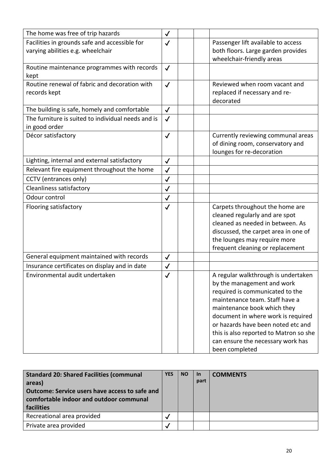| The home was free of trip hazards                                                                  | $\checkmark$ |                                                                 |
|----------------------------------------------------------------------------------------------------|--------------|-----------------------------------------------------------------|
| Facilities in grounds safe and accessible for                                                      | $\checkmark$ | Passenger lift available to access                              |
| varying abilities e.g. wheelchair                                                                  |              | both floors. Large garden provides<br>wheelchair-friendly areas |
| Routine maintenance programmes with records                                                        | $\checkmark$ |                                                                 |
| kept                                                                                               |              |                                                                 |
| Routine renewal of fabric and decoration with                                                      | $\checkmark$ | Reviewed when room vacant and                                   |
| records kept                                                                                       |              | replaced if necessary and re-                                   |
|                                                                                                    |              | decorated                                                       |
| The building is safe, homely and comfortable<br>The furniture is suited to individual needs and is | $\checkmark$ |                                                                 |
| in good order                                                                                      | $\checkmark$ |                                                                 |
| Décor satisfactory                                                                                 | $\checkmark$ | Currently reviewing communal areas                              |
|                                                                                                    |              | of dining room, conservatory and                                |
|                                                                                                    |              | lounges for re-decoration                                       |
| Lighting, internal and external satisfactory                                                       | $\checkmark$ |                                                                 |
| Relevant fire equipment throughout the home                                                        | $\checkmark$ |                                                                 |
| CCTV (entrances only)                                                                              | $\checkmark$ |                                                                 |
| <b>Cleanliness satisfactory</b>                                                                    | $\checkmark$ |                                                                 |
| Odour control                                                                                      | $\checkmark$ |                                                                 |
| Flooring satisfactory                                                                              | $\checkmark$ | Carpets throughout the home are                                 |
|                                                                                                    |              | cleaned regularly and are spot                                  |
|                                                                                                    |              | cleaned as needed in between. As                                |
|                                                                                                    |              | discussed, the carpet area in one of                            |
|                                                                                                    |              | the lounges may require more                                    |
|                                                                                                    |              | frequent cleaning or replacement                                |
| General equipment maintained with records                                                          | $\checkmark$ |                                                                 |
| Insurance certificates on display and in date                                                      | $\checkmark$ |                                                                 |
| Environmental audit undertaken                                                                     | $\checkmark$ | A regular walkthrough is undertaken                             |
|                                                                                                    |              | by the management and work                                      |
|                                                                                                    |              | required is communicated to the                                 |
|                                                                                                    |              | maintenance team. Staff have a<br>maintenance book which they   |
|                                                                                                    |              | document in where work is required                              |
|                                                                                                    |              | or hazards have been noted etc and                              |
|                                                                                                    |              | this is also reported to Matron so she                          |
|                                                                                                    |              | can ensure the necessary work has                               |
|                                                                                                    |              | been completed                                                  |

| <b>Standard 20: Shared Facilities (communal</b><br>areas)<br>Outcome: Service users have access to safe and<br>comfortable indoor and outdoor communal<br>facilities | <b>YES</b> | <b>NO</b> | <b>In</b><br>part | <b>COMMENTS</b> |
|----------------------------------------------------------------------------------------------------------------------------------------------------------------------|------------|-----------|-------------------|-----------------|
| Recreational area provided                                                                                                                                           |            |           |                   |                 |
| Private area provided                                                                                                                                                |            |           |                   |                 |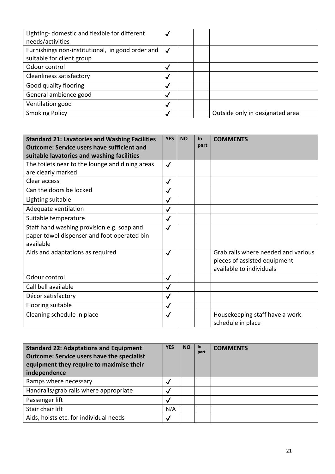| Lighting- domestic and flexible for different<br>needs/activities             | $\sqrt{ }$   |                                 |
|-------------------------------------------------------------------------------|--------------|---------------------------------|
| Furnishings non-institutional, in good order and<br>suitable for client group | √            |                                 |
| Odour control                                                                 | $\checkmark$ |                                 |
| Cleanliness satisfactory                                                      | $\checkmark$ |                                 |
| Good quality flooring                                                         | $\checkmark$ |                                 |
| General ambience good                                                         | $\checkmark$ |                                 |
| Ventilation good                                                              | $\checkmark$ |                                 |
| <b>Smoking Policy</b>                                                         | $\checkmark$ | Outside only in designated area |

| <b>Standard 21: Lavatories and Washing Facilities</b><br><b>Outcome: Service users have sufficient and</b><br>suitable lavatories and washing facilities | <b>YES</b>   | <b>NO</b> | <b>In</b><br>part | <b>COMMENTS</b>                                                                                 |
|----------------------------------------------------------------------------------------------------------------------------------------------------------|--------------|-----------|-------------------|-------------------------------------------------------------------------------------------------|
| The toilets near to the lounge and dining areas<br>are clearly marked                                                                                    | $\checkmark$ |           |                   |                                                                                                 |
| Clear access                                                                                                                                             | $\checkmark$ |           |                   |                                                                                                 |
| Can the doors be locked                                                                                                                                  | $\checkmark$ |           |                   |                                                                                                 |
| Lighting suitable                                                                                                                                        | $\checkmark$ |           |                   |                                                                                                 |
| Adequate ventilation                                                                                                                                     | $\checkmark$ |           |                   |                                                                                                 |
| Suitable temperature                                                                                                                                     | $\checkmark$ |           |                   |                                                                                                 |
| Staff hand washing provision e.g. soap and<br>paper towel dispenser and foot operated bin<br>available                                                   | $\checkmark$ |           |                   |                                                                                                 |
| Aids and adaptations as required                                                                                                                         | $\checkmark$ |           |                   | Grab rails where needed and various<br>pieces of assisted equipment<br>available to individuals |
| Odour control                                                                                                                                            | $\checkmark$ |           |                   |                                                                                                 |
| Call bell available                                                                                                                                      | $\checkmark$ |           |                   |                                                                                                 |
| Décor satisfactory                                                                                                                                       | $\checkmark$ |           |                   |                                                                                                 |
| Flooring suitable                                                                                                                                        | $\checkmark$ |           |                   |                                                                                                 |
| Cleaning schedule in place                                                                                                                               | $\checkmark$ |           |                   | Housekeeping staff have a work<br>schedule in place                                             |

| <b>Standard 22: Adaptations and Equipment</b><br><b>Outcome: Service users have the specialist</b><br>equipment they require to maximise their<br>independence | <b>YES</b> | <b>NO</b> | <b>In</b><br>part | <b>COMMENTS</b> |
|----------------------------------------------------------------------------------------------------------------------------------------------------------------|------------|-----------|-------------------|-----------------|
| Ramps where necessary                                                                                                                                          | M          |           |                   |                 |
| Handrails/grab rails where appropriate                                                                                                                         | Ñ          |           |                   |                 |
| Passenger lift                                                                                                                                                 | M          |           |                   |                 |
| Stair chair lift                                                                                                                                               | N/A        |           |                   |                 |
| Aids, hoists etc. for individual needs                                                                                                                         | √          |           |                   |                 |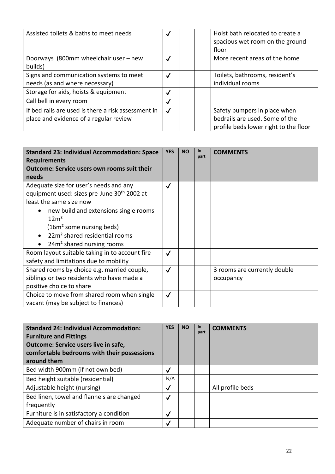| Assisted toilets & baths to meet needs                                                        | $\checkmark$ | Hoist bath relocated to create a<br>spacious wet room on the ground<br>floor                            |
|-----------------------------------------------------------------------------------------------|--------------|---------------------------------------------------------------------------------------------------------|
| Doorways (800mm wheelchair user - new<br>builds)                                              | $\checkmark$ | More recent areas of the home                                                                           |
| Signs and communication systems to meet<br>needs (as and where necessary)                     | $\checkmark$ | Toilets, bathrooms, resident's<br>individual rooms                                                      |
| Storage for aids, hoists & equipment                                                          | √            |                                                                                                         |
| Call bell in every room                                                                       | √            |                                                                                                         |
| If bed rails are used is there a risk assessment in<br>place and evidence of a regular review | $\checkmark$ | Safety bumpers in place when<br>bedrails are used. Some of the<br>profile beds lower right to the floor |

| <b>Standard 23: Individual Accommodation: Space</b><br><b>Requirements</b><br><b>Outcome: Service users own rooms suit their</b><br>needs                                                                                                                                                                               | <b>YES</b>   | <b>NO</b> | $\ln$<br>part | <b>COMMENTS</b>                           |
|-------------------------------------------------------------------------------------------------------------------------------------------------------------------------------------------------------------------------------------------------------------------------------------------------------------------------|--------------|-----------|---------------|-------------------------------------------|
| Adequate size for user's needs and any<br>equipment used: sizes pre-June 30 <sup>th</sup> 2002 at<br>least the same size now<br>new build and extensions single rooms<br>12m <sup>2</sup><br>(16m <sup>2</sup> some nursing beds)<br>22m <sup>2</sup> shared residential rooms<br>24m <sup>2</sup> shared nursing rooms | $\checkmark$ |           |               |                                           |
| Room layout suitable taking in to account fire<br>safety and limitations due to mobility                                                                                                                                                                                                                                | $\checkmark$ |           |               |                                           |
| Shared rooms by choice e.g. married couple,<br>siblings or two residents who have made a<br>positive choice to share                                                                                                                                                                                                    | $\checkmark$ |           |               | 3 rooms are currently double<br>occupancy |
| Choice to move from shared room when single<br>vacant (may be subject to finances)                                                                                                                                                                                                                                      | $\checkmark$ |           |               |                                           |

| <b>Standard 24: Individual Accommodation:</b><br><b>Furniture and Fittings</b><br>Outcome: Service users live in safe,<br>comfortable bedrooms with their possessions<br>around them | <b>YES</b>   | <b>NO</b> | <b>In</b><br>part | <b>COMMENTS</b>  |
|--------------------------------------------------------------------------------------------------------------------------------------------------------------------------------------|--------------|-----------|-------------------|------------------|
| Bed width 900mm (if not own bed)                                                                                                                                                     | √            |           |                   |                  |
| Bed height suitable (residential)                                                                                                                                                    | N/A          |           |                   |                  |
| Adjustable height (nursing)                                                                                                                                                          | √            |           |                   | All profile beds |
| Bed linen, towel and flannels are changed                                                                                                                                            | $\checkmark$ |           |                   |                  |
| frequently                                                                                                                                                                           |              |           |                   |                  |
| Furniture is in satisfactory a condition                                                                                                                                             | $\checkmark$ |           |                   |                  |
| Adequate number of chairs in room                                                                                                                                                    | $\checkmark$ |           |                   |                  |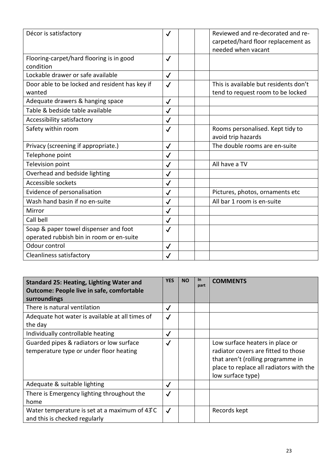| Décor is satisfactory                          | $\checkmark$ | Reviewed and re-decorated and re-<br>carpeted/hard floor replacement as |
|------------------------------------------------|--------------|-------------------------------------------------------------------------|
|                                                |              | needed when vacant                                                      |
| Flooring-carpet/hard flooring is in good       | $\checkmark$ |                                                                         |
| condition                                      |              |                                                                         |
| Lockable drawer or safe available              | $\checkmark$ |                                                                         |
| Door able to be locked and resident has key if | $\checkmark$ | This is available but residents don't                                   |
| wanted                                         |              | tend to request room to be locked                                       |
| Adequate drawers & hanging space               | $\checkmark$ |                                                                         |
| Table & bedside table available                | $\checkmark$ |                                                                         |
| Accessibility satisfactory                     | $\checkmark$ |                                                                         |
| Safety within room                             | $\checkmark$ | Rooms personalised. Kept tidy to<br>avoid trip hazards                  |
| Privacy (screening if appropriate.)            | $\checkmark$ | The double rooms are en-suite                                           |
| Telephone point                                | $\checkmark$ |                                                                         |
| Television point                               | $\checkmark$ | All have a TV                                                           |
| Overhead and bedside lighting                  | $\checkmark$ |                                                                         |
| Accessible sockets                             | $\checkmark$ |                                                                         |
| Evidence of personalisation                    | $\checkmark$ | Pictures, photos, ornaments etc                                         |
| Wash hand basin if no en-suite                 | $\checkmark$ | All bar 1 room is en-suite                                              |
| Mirror                                         | $\checkmark$ |                                                                         |
| Call bell                                      | $\checkmark$ |                                                                         |
| Soap & paper towel dispenser and foot          | $\checkmark$ |                                                                         |
| operated rubbish bin in room or en-suite       |              |                                                                         |
| Odour control                                  | $\checkmark$ |                                                                         |
| Cleanliness satisfactory                       | $\checkmark$ |                                                                         |

| <b>Standard 25: Heating, Lighting Water and</b><br><b>Outcome: People live in safe, comfortable</b><br>surroundings | <b>YES</b>   | <b>NO</b> | <b>In</b><br>part | <b>COMMENTS</b>                                                                                                                                                             |
|---------------------------------------------------------------------------------------------------------------------|--------------|-----------|-------------------|-----------------------------------------------------------------------------------------------------------------------------------------------------------------------------|
| There is natural ventilation                                                                                        | $\checkmark$ |           |                   |                                                                                                                                                                             |
| Adequate hot water is available at all times of<br>the day                                                          | $\checkmark$ |           |                   |                                                                                                                                                                             |
| Individually controllable heating                                                                                   | $\checkmark$ |           |                   |                                                                                                                                                                             |
| Guarded pipes & radiators or low surface<br>temperature type or under floor heating                                 | $\checkmark$ |           |                   | Low surface heaters in place or<br>radiator covers are fitted to those<br>that aren't (rolling programme in<br>place to replace all radiators with the<br>low surface type) |
| Adequate & suitable lighting                                                                                        | $\checkmark$ |           |                   |                                                                                                                                                                             |
| There is Emergency lighting throughout the<br>home                                                                  | $\checkmark$ |           |                   |                                                                                                                                                                             |
| Water temperature is set at a maximum of 43°C<br>and this is checked regularly                                      | $\checkmark$ |           |                   | Records kept                                                                                                                                                                |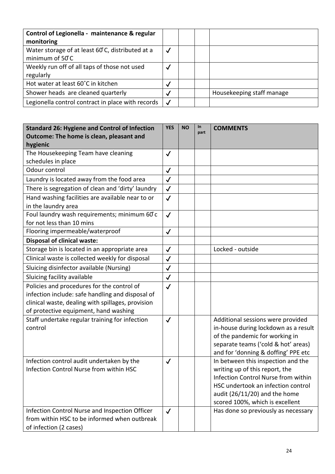| Control of Legionella - maintenance & regular                       |                          |                           |  |
|---------------------------------------------------------------------|--------------------------|---------------------------|--|
| monitoring                                                          |                          |                           |  |
| Water storage of at least 60°C, distributed at a<br>minimum of 50°C | $\checkmark$             |                           |  |
|                                                                     |                          |                           |  |
| Weekly run off of all taps of those not used                        |                          |                           |  |
| regularly                                                           |                          |                           |  |
| Hot water at least 60°C in kitchen                                  |                          |                           |  |
| Shower heads are cleaned quarterly                                  | $\checkmark$             | Housekeeping staff manage |  |
| Legionella control contract in place with records                   | $\overline{\mathcal{A}}$ |                           |  |

| <b>Standard 26: Hygiene and Control of Infection</b><br>Outcome: The home is clean, pleasant and                                                                                             | <b>YES</b>   | <b>NO</b> | In<br>part | <b>COMMENTS</b>                                                                                                                                                                                                         |
|----------------------------------------------------------------------------------------------------------------------------------------------------------------------------------------------|--------------|-----------|------------|-------------------------------------------------------------------------------------------------------------------------------------------------------------------------------------------------------------------------|
| hygienic                                                                                                                                                                                     |              |           |            |                                                                                                                                                                                                                         |
| The Housekeeping Team have cleaning<br>schedules in place                                                                                                                                    | $\checkmark$ |           |            |                                                                                                                                                                                                                         |
| Odour control                                                                                                                                                                                | $\checkmark$ |           |            |                                                                                                                                                                                                                         |
| Laundry is located away from the food area                                                                                                                                                   | $\checkmark$ |           |            |                                                                                                                                                                                                                         |
| There is segregation of clean and 'dirty' laundry                                                                                                                                            | $\checkmark$ |           |            |                                                                                                                                                                                                                         |
| Hand washing facilities are available near to or                                                                                                                                             | $\checkmark$ |           |            |                                                                                                                                                                                                                         |
| in the laundry area                                                                                                                                                                          |              |           |            |                                                                                                                                                                                                                         |
| Foul laundry wash requirements; minimum 60°c<br>for not less than 10 mins                                                                                                                    | $\checkmark$ |           |            |                                                                                                                                                                                                                         |
| Flooring impermeable/waterproof                                                                                                                                                              | $\checkmark$ |           |            |                                                                                                                                                                                                                         |
| <b>Disposal of clinical waste:</b>                                                                                                                                                           |              |           |            |                                                                                                                                                                                                                         |
| Storage bin is located in an appropriate area                                                                                                                                                | $\checkmark$ |           |            | Locked - outside                                                                                                                                                                                                        |
| Clinical waste is collected weekly for disposal                                                                                                                                              | $\checkmark$ |           |            |                                                                                                                                                                                                                         |
| Sluicing disinfector available (Nursing)                                                                                                                                                     | $\checkmark$ |           |            |                                                                                                                                                                                                                         |
| Sluicing facility available                                                                                                                                                                  | $\checkmark$ |           |            |                                                                                                                                                                                                                         |
| Policies and procedures for the control of<br>infection include: safe handling and disposal of<br>clinical waste, dealing with spillages, provision<br>of protective equipment, hand washing | $\checkmark$ |           |            |                                                                                                                                                                                                                         |
| Staff undertake regular training for infection<br>control                                                                                                                                    | $\checkmark$ |           |            | Additional sessions were provided<br>in-house during lockdown as a result<br>of the pandemic for working in<br>separate teams ('cold & hot' areas)<br>and for 'donning & doffing' PPE etc                               |
| Infection control audit undertaken by the<br>Infection Control Nurse from within HSC                                                                                                         | $\checkmark$ |           |            | In between this inspection and the<br>writing up of this report, the<br>Infection Control Nurse from within<br>HSC undertook an infection control<br>audit $(26/11/20)$ and the home<br>scored 100%, which is excellent |
| Infection Control Nurse and Inspection Officer<br>from within HSC to be informed when outbreak<br>of infection (2 cases)                                                                     | $\checkmark$ |           |            | Has done so previously as necessary                                                                                                                                                                                     |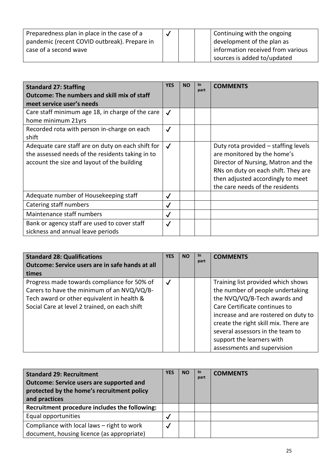| Preparedness plan in place in the case of a  |  | Continuing with the ongoing       |
|----------------------------------------------|--|-----------------------------------|
| pandemic (recent COVID outbreak). Prepare in |  | development of the plan as        |
| case of a second wave                        |  | information received from various |
|                                              |  | sources is added to/updated       |

| <b>Standard 27: Staffing</b><br><b>Outcome: The numbers and skill mix of staff</b><br>meet service user's needs                                      | <b>YES</b>   | <b>NO</b> | In<br>part | <b>COMMENTS</b>                                                                                                                                                                                                           |
|------------------------------------------------------------------------------------------------------------------------------------------------------|--------------|-----------|------------|---------------------------------------------------------------------------------------------------------------------------------------------------------------------------------------------------------------------------|
| Care staff minimum age 18, in charge of the care<br>home minimum 21yrs                                                                               | $\checkmark$ |           |            |                                                                                                                                                                                                                           |
| Recorded rota with person in-charge on each<br>shift                                                                                                 | $\checkmark$ |           |            |                                                                                                                                                                                                                           |
| Adequate care staff are on duty on each shift for<br>the assessed needs of the residents taking in to<br>account the size and layout of the building | $\checkmark$ |           |            | Duty rota provided – staffing levels<br>are monitored by the home's<br>Director of Nursing, Matron and the<br>RNs on duty on each shift. They are<br>then adjusted accordingly to meet<br>the care needs of the residents |
| Adequate number of Housekeeping staff                                                                                                                | $\checkmark$ |           |            |                                                                                                                                                                                                                           |
| Catering staff numbers                                                                                                                               | $\checkmark$ |           |            |                                                                                                                                                                                                                           |
| Maintenance staff numbers                                                                                                                            | $\checkmark$ |           |            |                                                                                                                                                                                                                           |
| Bank or agency staff are used to cover staff<br>sickness and annual leave periods                                                                    | $\checkmark$ |           |            |                                                                                                                                                                                                                           |

| <b>Standard 28: Qualifications</b>                                                                                                                                                       | <b>YES</b>   | <b>NO</b> | <b>In</b><br>part | <b>COMMENTS</b>                                                                                                                                                                                                          |
|------------------------------------------------------------------------------------------------------------------------------------------------------------------------------------------|--------------|-----------|-------------------|--------------------------------------------------------------------------------------------------------------------------------------------------------------------------------------------------------------------------|
| Outcome: Service users are in safe hands at all                                                                                                                                          |              |           |                   |                                                                                                                                                                                                                          |
| times                                                                                                                                                                                    |              |           |                   |                                                                                                                                                                                                                          |
| Progress made towards compliance for 50% of<br>Carers to have the minimum of an NVQ/VQ/B-<br>Tech award or other equivalent in health &<br>Social Care at level 2 trained, on each shift | $\checkmark$ |           |                   | Training list provided which shows<br>the number of people undertaking<br>the NVQ/VQ/B-Tech awards and<br>Care Certificate continues to<br>increase and are rostered on duty to<br>create the right skill mix. There are |
|                                                                                                                                                                                          |              |           |                   | several assessors in the team to<br>support the learners with<br>assessments and supervision                                                                                                                             |

| <b>Standard 29: Recruitment</b><br><b>Outcome: Service users are supported and</b><br>protected by the home's recruitment policy<br>and practices | YES | <b>NO</b> | -In<br>part | <b>COMMENTS</b> |
|---------------------------------------------------------------------------------------------------------------------------------------------------|-----|-----------|-------------|-----------------|
| Recruitment procedure includes the following:                                                                                                     |     |           |             |                 |
| Equal opportunities                                                                                                                               |     |           |             |                 |
| Compliance with local laws - right to work                                                                                                        |     |           |             |                 |
| document, housing licence (as appropriate)                                                                                                        |     |           |             |                 |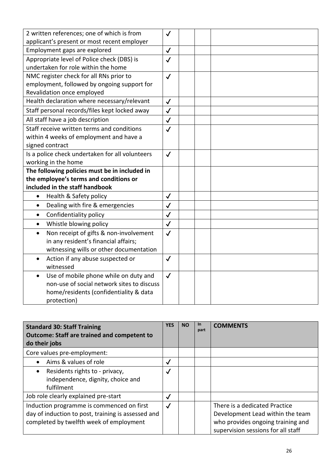| 2 written references; one of which is from          | $\checkmark$ |
|-----------------------------------------------------|--------------|
| applicant's present or most recent employer         |              |
| Employment gaps are explored                        | $\checkmark$ |
| Appropriate level of Police check (DBS) is          | $\checkmark$ |
| undertaken for role within the home                 |              |
| NMC register check for all RNs prior to             | $\checkmark$ |
| employment, followed by ongoing support for         |              |
| Revalidation once employed                          |              |
| Health declaration where necessary/relevant         | $\checkmark$ |
| Staff personal records/files kept locked away       | $\checkmark$ |
| All staff have a job description                    | $\checkmark$ |
| Staff receive written terms and conditions          | $\checkmark$ |
| within 4 weeks of employment and have a             |              |
| signed contract                                     |              |
| Is a police check undertaken for all volunteers     | $\checkmark$ |
| working in the home                                 |              |
| The following policies must be in included in       |              |
| the employee's terms and conditions or              |              |
| included in the staff handbook                      |              |
| Health & Safety policy<br>$\bullet$                 | $\checkmark$ |
| Dealing with fire & emergencies<br>$\bullet$        | $\checkmark$ |
| Confidentiality policy<br>$\bullet$                 | $\checkmark$ |
| Whistle blowing policy<br>$\bullet$                 | $\checkmark$ |
| Non receipt of gifts & non-involvement<br>$\bullet$ | $\checkmark$ |
| in any resident's financial affairs;                |              |
| witnessing wills or other documentation             |              |
| Action if any abuse suspected or<br>$\bullet$       | $\checkmark$ |
| witnessed                                           |              |
| Use of mobile phone while on duty and               | $\checkmark$ |
| non-use of social network sites to discuss          |              |
| home/residents (confidentiality & data              |              |
| protection)                                         |              |

| <b>Standard 30: Staff Training</b><br><b>Outcome: Staff are trained and competent to</b><br>do their jobs                                  | <b>YES</b>   | <b>NO</b> | $\ln$<br>part | <b>COMMENTS</b>                                                                                                                              |
|--------------------------------------------------------------------------------------------------------------------------------------------|--------------|-----------|---------------|----------------------------------------------------------------------------------------------------------------------------------------------|
| Core values pre-employment:                                                                                                                |              |           |               |                                                                                                                                              |
| Aims & values of role                                                                                                                      | $\checkmark$ |           |               |                                                                                                                                              |
| Residents rights to - privacy,<br>independence, dignity, choice and<br>fulfilment                                                          | $\checkmark$ |           |               |                                                                                                                                              |
| Job role clearly explained pre-start                                                                                                       | $\checkmark$ |           |               |                                                                                                                                              |
| Induction programme is commenced on first<br>day of induction to post, training is assessed and<br>completed by twelfth week of employment | $\checkmark$ |           |               | There is a dedicated Practice<br>Development Lead within the team<br>who provides ongoing training and<br>supervision sessions for all staff |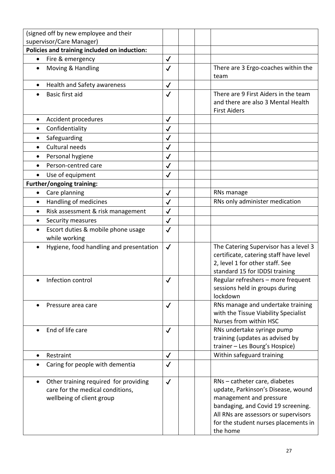| (signed off by new employee and their<br>supervisor/Care Manager)                                      |              |                                                                                                                                                                                                                                  |
|--------------------------------------------------------------------------------------------------------|--------------|----------------------------------------------------------------------------------------------------------------------------------------------------------------------------------------------------------------------------------|
| Policies and training included on induction:                                                           |              |                                                                                                                                                                                                                                  |
| Fire & emergency<br>$\bullet$                                                                          | $\checkmark$ |                                                                                                                                                                                                                                  |
| Moving & Handling<br>$\bullet$                                                                         | $\checkmark$ | There are 3 Ergo-coaches within the<br>team                                                                                                                                                                                      |
| Health and Safety awareness                                                                            | $\checkmark$ |                                                                                                                                                                                                                                  |
| Basic first aid                                                                                        | $\checkmark$ | There are 9 First Aiders in the team<br>and there are also 3 Mental Health<br><b>First Aiders</b>                                                                                                                                |
| Accident procedures<br>$\bullet$                                                                       | $\checkmark$ |                                                                                                                                                                                                                                  |
| Confidentiality                                                                                        | $\checkmark$ |                                                                                                                                                                                                                                  |
| Safeguarding                                                                                           | $\checkmark$ |                                                                                                                                                                                                                                  |
| <b>Cultural needs</b><br>$\bullet$                                                                     | $\checkmark$ |                                                                                                                                                                                                                                  |
| Personal hygiene                                                                                       | $\checkmark$ |                                                                                                                                                                                                                                  |
| Person-centred care                                                                                    | $\checkmark$ |                                                                                                                                                                                                                                  |
| Use of equipment                                                                                       | $\checkmark$ |                                                                                                                                                                                                                                  |
| <b>Further/ongoing training:</b>                                                                       |              |                                                                                                                                                                                                                                  |
| Care planning                                                                                          | $\checkmark$ | RNs manage                                                                                                                                                                                                                       |
| Handling of medicines<br>$\bullet$                                                                     | $\checkmark$ | RNs only administer medication                                                                                                                                                                                                   |
| Risk assessment & risk management<br>$\bullet$                                                         | $\checkmark$ |                                                                                                                                                                                                                                  |
| Security measures<br>$\bullet$                                                                         | $\checkmark$ |                                                                                                                                                                                                                                  |
| Escort duties & mobile phone usage<br>while working                                                    | $\checkmark$ |                                                                                                                                                                                                                                  |
| Hygiene, food handling and presentation                                                                | $\checkmark$ | The Catering Supervisor has a level 3<br>certificate, catering staff have level<br>2, level 1 for other staff. See<br>standard 15 for IDDSI training                                                                             |
| Infection control                                                                                      | $\checkmark$ | Regular refreshers - more frequent<br>sessions held in groups during<br>lockdown                                                                                                                                                 |
| Pressure area care                                                                                     | $\checkmark$ | RNs manage and undertake training<br>with the Tissue Viability Specialist<br>Nurses from within HSC                                                                                                                              |
| End of life care                                                                                       | $\checkmark$ | RNs undertake syringe pump<br>training (updates as advised by<br>trainer - Les Bourg's Hospice)                                                                                                                                  |
| Restraint<br>$\bullet$                                                                                 | $\checkmark$ | Within safeguard training                                                                                                                                                                                                        |
| Caring for people with dementia                                                                        | $\checkmark$ |                                                                                                                                                                                                                                  |
| Other training required for providing<br>care for the medical conditions,<br>wellbeing of client group | $\checkmark$ | RNs - catheter care, diabetes<br>update, Parkinson's Disease, wound<br>management and pressure<br>bandaging, and Covid 19 screening.<br>All RNs are assessors or supervisors<br>for the student nurses placements in<br>the home |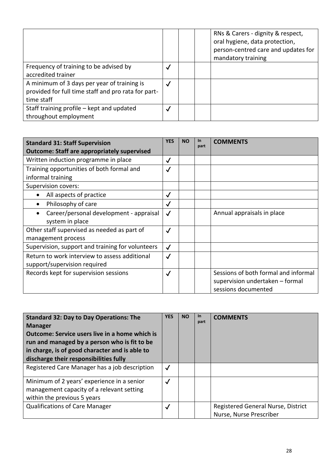|                                                     |              | RNs & Carers - dignity & respect,<br>oral hygiene, data protection,<br>person-centred care and updates for<br>mandatory training |
|-----------------------------------------------------|--------------|----------------------------------------------------------------------------------------------------------------------------------|
| Frequency of training to be advised by              | $\checkmark$ |                                                                                                                                  |
| accredited trainer                                  |              |                                                                                                                                  |
| A minimum of 3 days per year of training is         | $\checkmark$ |                                                                                                                                  |
| provided for full time staff and pro rata for part- |              |                                                                                                                                  |
| time staff                                          |              |                                                                                                                                  |
| Staff training profile – kept and updated           | $\checkmark$ |                                                                                                                                  |
| throughout employment                               |              |                                                                                                                                  |

| <b>Standard 31: Staff Supervision</b><br><b>Outcome: Staff are appropriately supervised</b> | <b>YES</b>   | <b>NO</b> | In<br>part | <b>COMMENTS</b>                      |
|---------------------------------------------------------------------------------------------|--------------|-----------|------------|--------------------------------------|
| Written induction programme in place                                                        | $\checkmark$ |           |            |                                      |
| Training opportunities of both formal and                                                   | $\checkmark$ |           |            |                                      |
| informal training                                                                           |              |           |            |                                      |
| Supervision covers:                                                                         |              |           |            |                                      |
| All aspects of practice                                                                     | $\checkmark$ |           |            |                                      |
| Philosophy of care                                                                          | $\checkmark$ |           |            |                                      |
| Career/personal development - appraisal                                                     | $\checkmark$ |           |            | Annual appraisals in place           |
| system in place                                                                             |              |           |            |                                      |
| Other staff supervised as needed as part of                                                 | $\checkmark$ |           |            |                                      |
| management process                                                                          |              |           |            |                                      |
| Supervision, support and training for volunteers                                            | $\checkmark$ |           |            |                                      |
| Return to work interview to assess additional                                               | $\checkmark$ |           |            |                                      |
| support/supervision required                                                                |              |           |            |                                      |
| Records kept for supervision sessions                                                       | $\checkmark$ |           |            | Sessions of both formal and informal |
|                                                                                             |              |           |            | supervision undertaken - formal      |
|                                                                                             |              |           |            | sessions documented                  |

| <b>Standard 32: Day to Day Operations: The</b><br><b>Manager</b><br><b>Outcome: Service users live in a home which is</b><br>run and managed by a person who is fit to be<br>in charge, is of good character and is able to<br>discharge their responsibilities fully | <b>YES</b>   | <b>NO</b> | <b>In</b><br>part | <b>COMMENTS</b>                                               |
|-----------------------------------------------------------------------------------------------------------------------------------------------------------------------------------------------------------------------------------------------------------------------|--------------|-----------|-------------------|---------------------------------------------------------------|
| Registered Care Manager has a job description                                                                                                                                                                                                                         | $\checkmark$ |           |                   |                                                               |
| Minimum of 2 years' experience in a senior<br>management capacity of a relevant setting<br>within the previous 5 years                                                                                                                                                | $\checkmark$ |           |                   |                                                               |
| <b>Qualifications of Care Manager</b>                                                                                                                                                                                                                                 | $\checkmark$ |           |                   | Registered General Nurse, District<br>Nurse, Nurse Prescriber |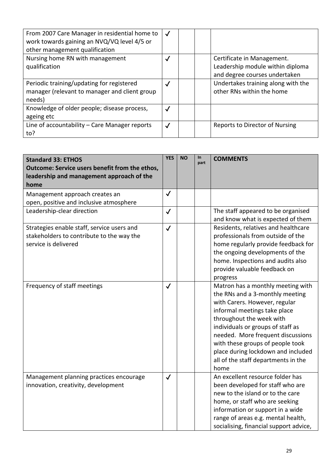| From 2007 Care Manager in residential home to<br>work towards gaining an NVQ/VQ level 4/5 or<br>other management qualification | $\checkmark$ |  |                                                                                                 |
|--------------------------------------------------------------------------------------------------------------------------------|--------------|--|-------------------------------------------------------------------------------------------------|
| Nursing home RN with management<br>qualification                                                                               | $\checkmark$ |  | Certificate in Management.<br>Leadership module within diploma<br>and degree courses undertaken |
| Periodic training/updating for registered<br>manager (relevant to manager and client group<br>needs)                           | $\checkmark$ |  | Undertakes training along with the<br>other RNs within the home                                 |
| Knowledge of older people; disease process,<br>ageing etc                                                                      | $\checkmark$ |  |                                                                                                 |
| Line of accountability - Care Manager reports<br>to?                                                                           | $\checkmark$ |  | Reports to Director of Nursing                                                                  |

| <b>Standard 33: ETHOS</b><br>Outcome: Service users benefit from the ethos,<br>leadership and management approach of the<br>home | <b>YES</b>   | <b>NO</b> | In<br>part | <b>COMMENTS</b>                                                                                                                                                                                                                                                                                                                                                      |
|----------------------------------------------------------------------------------------------------------------------------------|--------------|-----------|------------|----------------------------------------------------------------------------------------------------------------------------------------------------------------------------------------------------------------------------------------------------------------------------------------------------------------------------------------------------------------------|
| Management approach creates an<br>open, positive and inclusive atmosphere                                                        | $\checkmark$ |           |            |                                                                                                                                                                                                                                                                                                                                                                      |
| Leadership-clear direction                                                                                                       | $\checkmark$ |           |            | The staff appeared to be organised<br>and know what is expected of them                                                                                                                                                                                                                                                                                              |
| Strategies enable staff, service users and<br>stakeholders to contribute to the way the<br>service is delivered                  | $\checkmark$ |           |            | Residents, relatives and healthcare<br>professionals from outside of the<br>home regularly provide feedback for<br>the ongoing developments of the<br>home. Inspections and audits also<br>provide valuable feedback on<br>progress                                                                                                                                  |
| Frequency of staff meetings                                                                                                      | $\checkmark$ |           |            | Matron has a monthly meeting with<br>the RNs and a 3-monthly meeting<br>with Carers. However, regular<br>informal meetings take place<br>throughout the week with<br>individuals or groups of staff as<br>needed. More frequent discussions<br>with these groups of people took<br>place during lockdown and included<br>all of the staff departments in the<br>home |
| Management planning practices encourage<br>innovation, creativity, development                                                   | $\checkmark$ |           |            | An excellent resource folder has<br>been developed for staff who are<br>new to the island or to the care<br>home, or staff who are seeking<br>information or support in a wide<br>range of areas e.g. mental health,<br>socialising, financial support advice,                                                                                                       |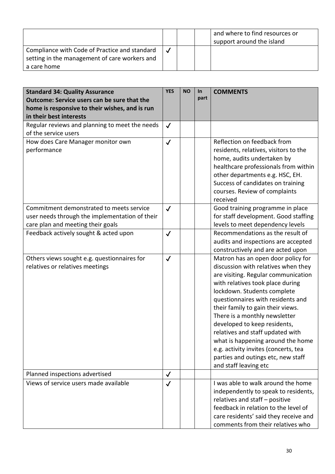|                                                                                                               |  | and where to find resources or<br>support around the island |
|---------------------------------------------------------------------------------------------------------------|--|-------------------------------------------------------------|
| Compliance with Code of Practice and standard<br>setting in the management of care workers and<br>a care home |  |                                                             |

| <b>Standard 34: Quality Assurance</b><br><b>Outcome: Service users can be sure that the</b><br>home is responsive to their wishes, and is run<br>in their best interests | <b>YES</b>   | <b>NO</b> | In<br>part | <b>COMMENTS</b>                                                                                                                                                                                                                                                                                                                                                                                                                                                                                                |
|--------------------------------------------------------------------------------------------------------------------------------------------------------------------------|--------------|-----------|------------|----------------------------------------------------------------------------------------------------------------------------------------------------------------------------------------------------------------------------------------------------------------------------------------------------------------------------------------------------------------------------------------------------------------------------------------------------------------------------------------------------------------|
| Regular reviews and planning to meet the needs<br>of the service users                                                                                                   | $\checkmark$ |           |            |                                                                                                                                                                                                                                                                                                                                                                                                                                                                                                                |
| How does Care Manager monitor own<br>performance                                                                                                                         | $\checkmark$ |           |            | Reflection on feedback from<br>residents, relatives, visitors to the<br>home, audits undertaken by<br>healthcare professionals from within<br>other departments e.g. HSC, EH.<br>Success of candidates on training<br>courses. Review of complaints<br>received                                                                                                                                                                                                                                                |
| Commitment demonstrated to meets service<br>user needs through the implementation of their<br>care plan and meeting their goals                                          | $\checkmark$ |           |            | Good training programme in place<br>for staff development. Good staffing<br>levels to meet dependency levels                                                                                                                                                                                                                                                                                                                                                                                                   |
| Feedback actively sought & acted upon                                                                                                                                    | $\checkmark$ |           |            | Recommendations as the result of<br>audits and inspections are accepted<br>constructively and are acted upon                                                                                                                                                                                                                                                                                                                                                                                                   |
| Others views sought e.g. questionnaires for<br>relatives or relatives meetings                                                                                           | $\checkmark$ |           |            | Matron has an open door policy for<br>discussion with relatives when they<br>are visiting. Regular communication<br>with relatives took place during<br>lockdown. Students complete<br>questionnaires with residents and<br>their family to gain their views.<br>There is a monthly newsletter<br>developed to keep residents,<br>relatives and staff updated with<br>what is happening around the home<br>e.g. activity invites (concerts, tea<br>parties and outings etc, new staff<br>and staff leaving etc |
| Planned inspections advertised                                                                                                                                           | $\checkmark$ |           |            |                                                                                                                                                                                                                                                                                                                                                                                                                                                                                                                |
| Views of service users made available                                                                                                                                    | $\checkmark$ |           |            | I was able to walk around the home<br>independently to speak to residents,<br>relatives and staff - positive<br>feedback in relation to the level of<br>care residents' said they receive and<br>comments from their relatives who                                                                                                                                                                                                                                                                             |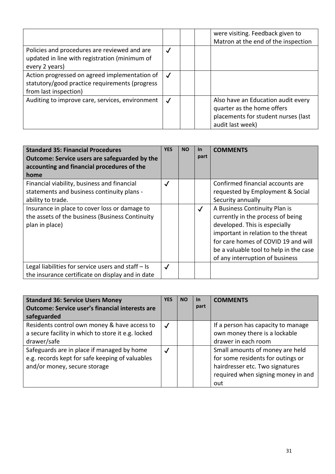|                                                                                                                          |              | were visiting. Feedback given to<br>Matron at the end of the inspection                                                     |
|--------------------------------------------------------------------------------------------------------------------------|--------------|-----------------------------------------------------------------------------------------------------------------------------|
| Policies and procedures are reviewed and are<br>updated in line with registration (minimum of<br>every 2 years)          | $\checkmark$ |                                                                                                                             |
| Action progressed on agreed implementation of<br>statutory/good practice requirements (progress<br>from last inspection) |              |                                                                                                                             |
| Auditing to improve care, services, environment                                                                          | $\checkmark$ | Also have an Education audit every<br>quarter as the home offers<br>placements for student nurses (last<br>audit last week) |

| <b>Standard 35: Financial Procedures</b><br>Outcome: Service users are safeguarded by the<br>accounting and financial procedures of the<br>home | <b>YES</b>   | <b>NO</b> | <b>In</b><br>part | <b>COMMENTS</b>                                                                                                                                                                                                                                                |
|-------------------------------------------------------------------------------------------------------------------------------------------------|--------------|-----------|-------------------|----------------------------------------------------------------------------------------------------------------------------------------------------------------------------------------------------------------------------------------------------------------|
| Financial viability, business and financial<br>statements and business continuity plans -<br>ability to trade.                                  | $\checkmark$ |           |                   | Confirmed financial accounts are<br>requested by Employment & Social<br>Security annually                                                                                                                                                                      |
| Insurance in place to cover loss or damage to<br>the assets of the business (Business Continuity<br>plan in place)                              |              |           | $\checkmark$      | A Business Continuity Plan is<br>currently in the process of being<br>developed. This is especially<br>important in relation to the threat<br>for care homes of COVID 19 and will<br>be a valuable tool to help in the case<br>of any interruption of business |
| Legal liabilities for service users and staff $-$ Is<br>the insurance certificate on display and in date                                        | $\checkmark$ |           |                   |                                                                                                                                                                                                                                                                |

| <b>Standard 36: Service Users Money</b>                | <b>YES</b>   | <b>NO</b> | <u>In</u> | <b>COMMENTS</b>                    |
|--------------------------------------------------------|--------------|-----------|-----------|------------------------------------|
| <b>Outcome: Service user's financial interests are</b> |              |           | part      |                                    |
| safeguarded                                            |              |           |           |                                    |
| Residents control own money & have access to           | $\checkmark$ |           |           | If a person has capacity to manage |
| a secure facility in which to store it e.g. locked     |              |           |           | own money there is a lockable      |
| drawer/safe                                            |              |           |           | drawer in each room                |
| Safeguards are in place if managed by home             | $\checkmark$ |           |           | Small amounts of money are held    |
| e.g. records kept for safe keeping of valuables        |              |           |           | for some residents for outings or  |
| and/or money, secure storage                           |              |           |           | hairdresser etc. Two signatures    |
|                                                        |              |           |           | required when signing money in and |
|                                                        |              |           |           | out                                |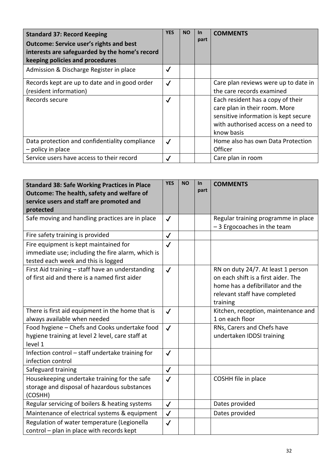| <b>Standard 37: Record Keeping</b><br><b>Outcome: Service user's rights and best</b><br>interests are safeguarded by the home's record<br>keeping policies and procedures | <b>YES</b>   | <b>NO</b> | <b>In</b><br>part | <b>COMMENTS</b>                                                                                                                                                 |
|---------------------------------------------------------------------------------------------------------------------------------------------------------------------------|--------------|-----------|-------------------|-----------------------------------------------------------------------------------------------------------------------------------------------------------------|
| Admission & Discharge Register in place                                                                                                                                   | $\checkmark$ |           |                   |                                                                                                                                                                 |
| Records kept are up to date and in good order<br>(resident information)                                                                                                   | $\checkmark$ |           |                   | Care plan reviews were up to date in<br>the care records examined                                                                                               |
| Records secure                                                                                                                                                            | $\checkmark$ |           |                   | Each resident has a copy of their<br>care plan in their room. More<br>sensitive information is kept secure<br>with authorised access on a need to<br>know basis |
| Data protection and confidentiality compliance<br>- policy in place                                                                                                       | $\checkmark$ |           |                   | Home also has own Data Protection<br>Officer                                                                                                                    |
| Service users have access to their record                                                                                                                                 | $\checkmark$ |           |                   | Care plan in room                                                                                                                                               |

| <b>Standard 38: Safe Working Practices in Place</b><br>Outcome: The health, safety and welfare of<br>service users and staff are promoted and<br>protected | <b>YES</b>   | <b>NO</b> | $\ln$<br>part | <b>COMMENTS</b>                                                                                                                                            |
|------------------------------------------------------------------------------------------------------------------------------------------------------------|--------------|-----------|---------------|------------------------------------------------------------------------------------------------------------------------------------------------------------|
| Safe moving and handling practices are in place                                                                                                            | $\checkmark$ |           |               | Regular training programme in place<br>-3 Ergocoaches in the team                                                                                          |
| Fire safety training is provided                                                                                                                           | $\checkmark$ |           |               |                                                                                                                                                            |
| Fire equipment is kept maintained for<br>immediate use; including the fire alarm, which is<br>tested each week and this is logged                          | $\checkmark$ |           |               |                                                                                                                                                            |
| First Aid training - staff have an understanding<br>of first aid and there is a named first aider                                                          | $\checkmark$ |           |               | RN on duty 24/7. At least 1 person<br>on each shift is a first aider. The<br>home has a defibrillator and the<br>relevant staff have completed<br>training |
| There is first aid equipment in the home that is<br>always available when needed                                                                           | $\checkmark$ |           |               | Kitchen, reception, maintenance and<br>1 on each floor                                                                                                     |
| Food hygiene - Chefs and Cooks undertake food<br>hygiene training at level 2 level, care staff at<br>level 1                                               | $\checkmark$ |           |               | RNs, Carers and Chefs have<br>undertaken IDDSI training                                                                                                    |
| Infection control - staff undertake training for<br>infection control                                                                                      | $\checkmark$ |           |               |                                                                                                                                                            |
| Safeguard training                                                                                                                                         | $\checkmark$ |           |               |                                                                                                                                                            |
| Housekeeping undertake training for the safe<br>storage and disposal of hazardous substances<br>(COSHH)                                                    | $\checkmark$ |           |               | COSHH file in place                                                                                                                                        |
| Regular servicing of boilers & heating systems                                                                                                             | $\checkmark$ |           |               | Dates provided                                                                                                                                             |
| Maintenance of electrical systems & equipment                                                                                                              | $\checkmark$ |           |               | Dates provided                                                                                                                                             |
| Regulation of water temperature (Legionella<br>control - plan in place with records kept                                                                   | $\checkmark$ |           |               |                                                                                                                                                            |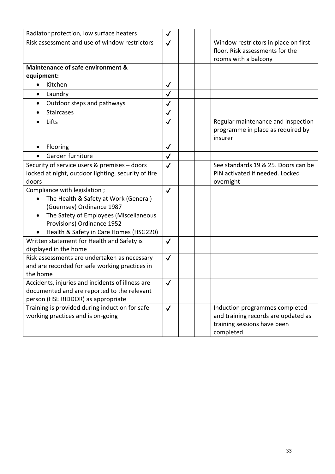| Radiator protection, low surface heaters                                                                                                                                                                                                       | $\checkmark$ |                                                                                                                   |
|------------------------------------------------------------------------------------------------------------------------------------------------------------------------------------------------------------------------------------------------|--------------|-------------------------------------------------------------------------------------------------------------------|
| Risk assessment and use of window restrictors                                                                                                                                                                                                  | $\checkmark$ | Window restrictors in place on first<br>floor. Risk assessments for the<br>rooms with a balcony                   |
| Maintenance of safe environment &                                                                                                                                                                                                              |              |                                                                                                                   |
| equipment:                                                                                                                                                                                                                                     |              |                                                                                                                   |
| Kitchen                                                                                                                                                                                                                                        | $\checkmark$ |                                                                                                                   |
| Laundry<br>$\bullet$                                                                                                                                                                                                                           | $\checkmark$ |                                                                                                                   |
| Outdoor steps and pathways<br>$\bullet$                                                                                                                                                                                                        | $\checkmark$ |                                                                                                                   |
| <b>Staircases</b>                                                                                                                                                                                                                              | $\checkmark$ |                                                                                                                   |
| Lifts                                                                                                                                                                                                                                          | $\checkmark$ | Regular maintenance and inspection<br>programme in place as required by<br>insurer                                |
| Flooring<br>$\bullet$                                                                                                                                                                                                                          | $\checkmark$ |                                                                                                                   |
| Garden furniture                                                                                                                                                                                                                               | $\checkmark$ |                                                                                                                   |
| Security of service users & premises - doors<br>locked at night, outdoor lighting, security of fire<br>doors                                                                                                                                   | $\checkmark$ | See standards 19 & 25. Doors can be<br>PIN activated if needed. Locked<br>overnight                               |
| Compliance with legislation;<br>The Health & Safety at Work (General)<br>$\bullet$<br>(Guernsey) Ordinance 1987<br>The Safety of Employees (Miscellaneous<br>$\bullet$<br>Provisions) Ordinance 1952<br>Health & Safety in Care Homes (HSG220) | $\checkmark$ |                                                                                                                   |
| Written statement for Health and Safety is<br>displayed in the home                                                                                                                                                                            | $\checkmark$ |                                                                                                                   |
| Risk assessments are undertaken as necessary<br>and are recorded for safe working practices in<br>the home                                                                                                                                     | $\checkmark$ |                                                                                                                   |
| Accidents, injuries and incidents of illness are<br>documented and are reported to the relevant<br>person (HSE RIDDOR) as appropriate                                                                                                          | $\checkmark$ |                                                                                                                   |
| Training is provided during induction for safe<br>working practices and is on-going                                                                                                                                                            | $\checkmark$ | Induction programmes completed<br>and training records are updated as<br>training sessions have been<br>completed |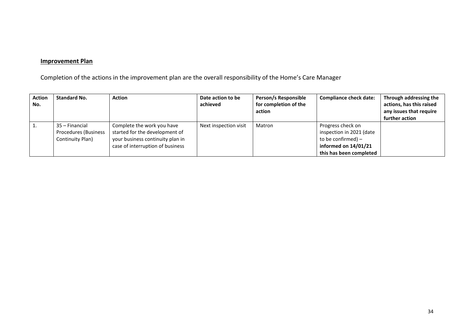# **Improvement Plan**

Completion of the actions in the improvement plan are the overall responsibility of the Home's Care Manager

| <b>Action</b><br>No. | <b>Standard No.</b>                                               | <b>Action</b>                                                                                                                        | Date action to be<br>achieved | Person/s Responsible<br>for completion of the<br>action | <b>Compliance check date:</b>                                                                                            | Through addressing the<br>actions, has this raised<br>any issues that require<br>further action |
|----------------------|-------------------------------------------------------------------|--------------------------------------------------------------------------------------------------------------------------------------|-------------------------------|---------------------------------------------------------|--------------------------------------------------------------------------------------------------------------------------|-------------------------------------------------------------------------------------------------|
|                      | 35 – Financial<br><b>Procedures (Business</b><br>Continuity Plan) | Complete the work you have<br>started for the development of<br>your business continuity plan in<br>case of interruption of business | Next inspection visit         | Matron                                                  | Progress check on<br>inspection in 2021 (date<br>to be confirmed) $-$<br>informed on 14/01/21<br>this has been completed |                                                                                                 |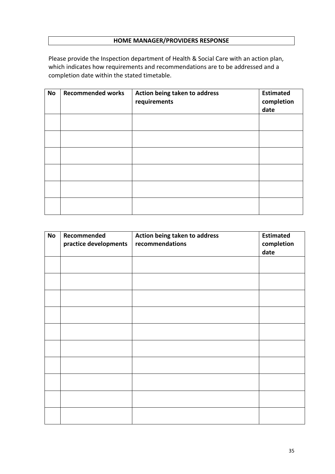# **HOME MANAGER/PROVIDERS RESPONSE**

Please provide the Inspection department of Health & Social Care with an action plan, which indicates how requirements and recommendations are to be addressed and a completion date within the stated timetable.

| <b>No</b> | <b>Recommended works</b> | Action being taken to address<br>requirements | <b>Estimated</b><br>completion<br>date |
|-----------|--------------------------|-----------------------------------------------|----------------------------------------|
|           |                          |                                               |                                        |
|           |                          |                                               |                                        |
|           |                          |                                               |                                        |
|           |                          |                                               |                                        |
|           |                          |                                               |                                        |
|           |                          |                                               |                                        |

| <b>No</b> | Recommended<br>practice developments | Action being taken to address<br>recommendations | <b>Estimated</b><br>completion<br>date |
|-----------|--------------------------------------|--------------------------------------------------|----------------------------------------|
|           |                                      |                                                  |                                        |
|           |                                      |                                                  |                                        |
|           |                                      |                                                  |                                        |
|           |                                      |                                                  |                                        |
|           |                                      |                                                  |                                        |
|           |                                      |                                                  |                                        |
|           |                                      |                                                  |                                        |
|           |                                      |                                                  |                                        |
|           |                                      |                                                  |                                        |
|           |                                      |                                                  |                                        |